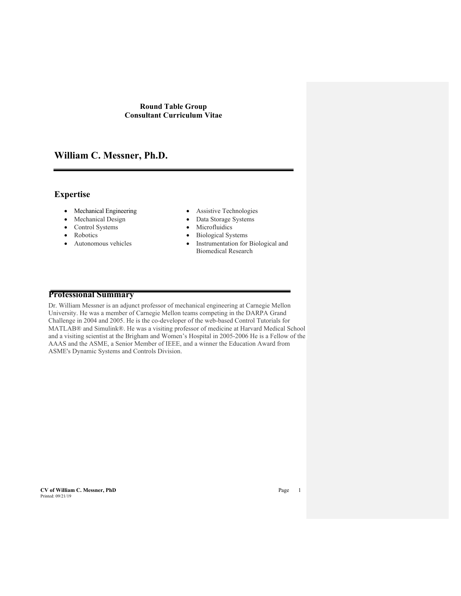# **William C. Messner, Ph.D.**

# **Expertise**

- Mechanical Engineering Assistive Technologies
- 
- Control Systems Microfluidics
- Robotics
- Autonomous vehicles
- 
- Mechanical Design Data Storage Systems
	-
	- Biological Systems
	- Instrumentation for Biological and Biomedical Research

# **Professional Summary**

Dr. William Messner is an adjunct professor of mechanical engineering at Carnegie Mellon University. He was a member of Carnegie Mellon teams competing in the DARPA Grand Challenge in 2004 and 2005. He is the co-developer of the web-based Control Tutorials for MATLAB® and Simulink®. He was a visiting professor of medicine at Harvard Medical School and a visiting scientist at the Brigham and Women's Hospital in 2005-2006 He is a Fellow of the AAAS and the ASME, a Senior Member of IEEE, and a winner the Education Award from ASME's Dynamic Systems and Controls Division.

**CV of William C. Messner, PhD** Page 1 Printed: 09/21/19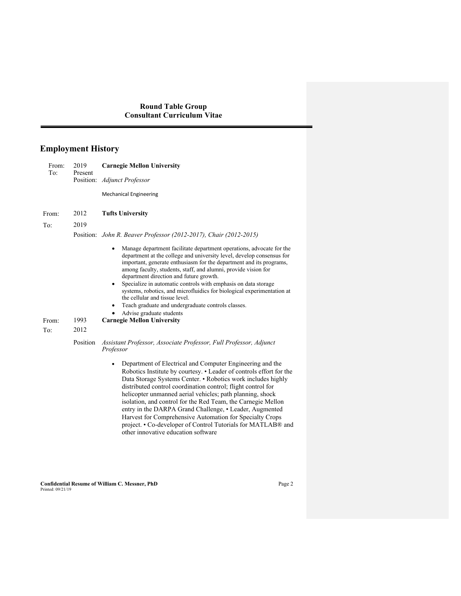# **Employment History**

| From:<br>To: | 2019<br>Present | <b>Carnegie Mellon University</b>                                                                                                                                                                                                                                                                                                                                                                                                                                                                                                                                                                                                |  |  |
|--------------|-----------------|----------------------------------------------------------------------------------------------------------------------------------------------------------------------------------------------------------------------------------------------------------------------------------------------------------------------------------------------------------------------------------------------------------------------------------------------------------------------------------------------------------------------------------------------------------------------------------------------------------------------------------|--|--|
|              |                 | Position: Adjunct Professor                                                                                                                                                                                                                                                                                                                                                                                                                                                                                                                                                                                                      |  |  |
|              |                 | <b>Mechanical Engineering</b>                                                                                                                                                                                                                                                                                                                                                                                                                                                                                                                                                                                                    |  |  |
| From:        | 2012            | <b>Tufts University</b>                                                                                                                                                                                                                                                                                                                                                                                                                                                                                                                                                                                                          |  |  |
| To:          | 2019            |                                                                                                                                                                                                                                                                                                                                                                                                                                                                                                                                                                                                                                  |  |  |
|              | Position:       | John R. Beaver Professor (2012-2017), Chair (2012-2015)                                                                                                                                                                                                                                                                                                                                                                                                                                                                                                                                                                          |  |  |
|              |                 | Manage department facilitate department operations, advocate for the<br>department at the college and university level, develop consensus for<br>important, generate enthusiasm for the department and its programs,<br>among faculty, students, staff, and alumni, provide vision for<br>department direction and future growth.<br>Specialize in automatic controls with emphasis on data storage<br>$\bullet$<br>systems, robotics, and microfluidics for biological experimentation at<br>the cellular and tissue level.<br>Teach graduate and undergraduate controls classes.<br>٠<br>Advise graduate students<br>٠         |  |  |
| From:        | 1993            | <b>Carnegie Mellon University</b>                                                                                                                                                                                                                                                                                                                                                                                                                                                                                                                                                                                                |  |  |
| To:          | 2012            |                                                                                                                                                                                                                                                                                                                                                                                                                                                                                                                                                                                                                                  |  |  |
|              | Position        | Assistant Professor, Associate Professor, Full Professor, Adjunct<br>Professor                                                                                                                                                                                                                                                                                                                                                                                                                                                                                                                                                   |  |  |
|              |                 | Department of Electrical and Computer Engineering and the<br>٠<br>Robotics Institute by courtesy. • Leader of controls effort for the<br>Data Storage Systems Center. • Robotics work includes highly<br>distributed control coordination control; flight control for<br>helicopter unmanned aerial vehicles; path planning, shock<br>isolation, and control for the Red Team, the Carnegie Mellon<br>entry in the DARPA Grand Challenge, • Leader, Augmented<br>Harvest for Comprehensive Automation for Specialty Crops<br>project. • Co-developer of Control Tutorials for MATLAB® and<br>other innovative education software |  |  |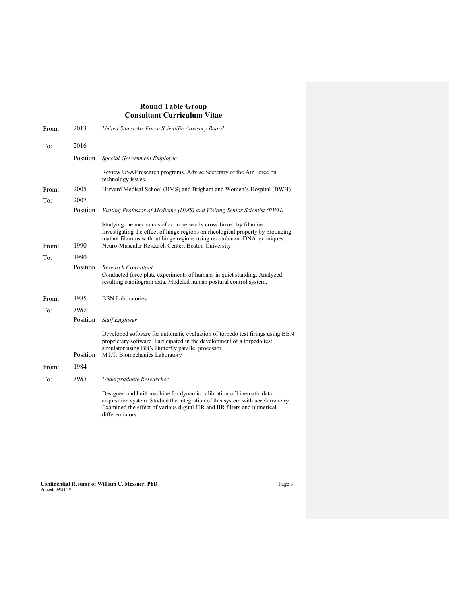| From: | 2013     | United States Air Force Scientific Advisory Board                                                                                                                                                                                                                                    |
|-------|----------|--------------------------------------------------------------------------------------------------------------------------------------------------------------------------------------------------------------------------------------------------------------------------------------|
| To:   | 2016     |                                                                                                                                                                                                                                                                                      |
|       | Position | Special Government Employee                                                                                                                                                                                                                                                          |
|       |          | Review USAF research programs. Advise Secretary of the Air Force on<br>technology issues.                                                                                                                                                                                            |
| From: | 2005     | Harvard Medical School (HMS) and Brigham and Women's Hospital (BWH)                                                                                                                                                                                                                  |
| To:   | 2007     |                                                                                                                                                                                                                                                                                      |
|       | Position | Visiting Professor of Medicine (HMS) and Visiting Senior Scientist (BWH)                                                                                                                                                                                                             |
| From: | 1990     | Studying the mechanics of actin networks cross-linked by filamins.<br>Investigating the effect of hinge regions on rheological property by producing<br>mutant filamins without hinge regions using recombinant DNA techniques.<br>Neuro-Muscular Research Center, Boston University |
| To:   | 1990     |                                                                                                                                                                                                                                                                                      |
|       | Position | Research Consultant<br>Conducted force plate experiments of humans in quiet standing. Analyzed<br>resulting stabilogram data. Modeled human postural control system.                                                                                                                 |
| From: | 1985     | <b>BBN</b> Laboratories                                                                                                                                                                                                                                                              |
| To:   | 1987     |                                                                                                                                                                                                                                                                                      |
|       | Position | <b>Staff Engineer</b>                                                                                                                                                                                                                                                                |
|       | Position | Developed software for automatic evaluation of torpedo test firings using BBN<br>proprietary software. Participated in the development of a torpedo test<br>simulator using BBN Butterfly parallel processor.<br>M.I.T. Biomechanics Laboratory                                      |
| From: | 1984     |                                                                                                                                                                                                                                                                                      |
| To:   | 1985     | Undergraduate Researcher                                                                                                                                                                                                                                                             |
|       |          | Designed and built machine for dynamic calibration of kinematic data<br>acquisition system. Studied the integration of this system with accelerometry.<br>Examined the effect of various digital FIR and IIR filters and numerical<br>differentiators.                               |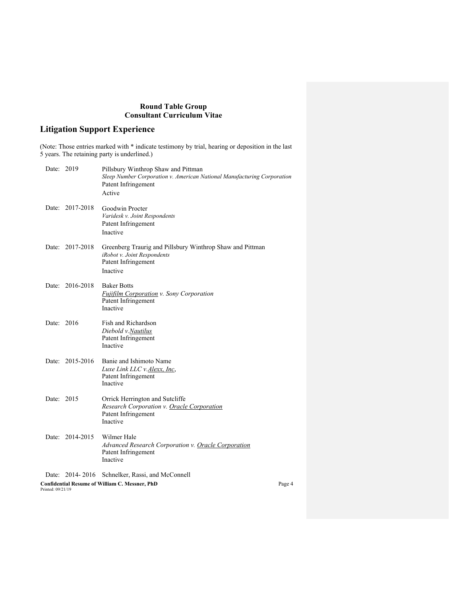# **Litigation Support Experience**

(Note: Those entries marked with \* indicate testimony by trial, hearing or deposition in the last 5 years. The retaining party is underlined.)

| Date: 2019                                                                 |                 | Pillsbury Winthrop Shaw and Pittman<br>Sleep Number Corporation v. American National Manufacturing Corporation<br>Patent Infringement<br>Active |        |
|----------------------------------------------------------------------------|-----------------|-------------------------------------------------------------------------------------------------------------------------------------------------|--------|
|                                                                            | Date: 2017-2018 | Goodwin Procter<br>Varidesk v. Joint Respondents<br>Patent Infringement<br>Inactive                                                             |        |
|                                                                            | Date: 2017-2018 | Greenberg Traurig and Pillsbury Winthrop Shaw and Pittman<br>iRobot v. Joint Respondents<br>Patent Infringement<br>Inactive                     |        |
|                                                                            | Date: 2016-2018 | <b>Baker Botts</b><br><b>Fujifilm Corporation v. Sony Corporation</b><br>Patent Infringement<br>Inactive                                        |        |
| Date: 2016                                                                 |                 | Fish and Richardson<br>Diebold v.Nautilus<br>Patent Infringement<br>Inactive                                                                    |        |
|                                                                            | Date: 2015-2016 | Banie and Ishimoto Name<br>Luxe Link LLC v. Alexx, Inc,<br>Patent Infringement<br>Inactive                                                      |        |
| Date: 2015                                                                 |                 | Orrick Herrington and Sutcliffe<br><b>Research Corporation v. Oracle Corporation</b><br>Patent Infringement<br>Inactive                         |        |
|                                                                            | Date: 2014-2015 | Wilmer Hale<br><b>Advanced Research Corporation v. Oracle Corporation</b><br>Patent Infringement<br>Inactive                                    |        |
|                                                                            | Date: 2014-2016 | Schnelker, Rassi, and McConnell                                                                                                                 |        |
| <b>Confidential Resume of William C. Messner, PhD</b><br>Printed: 09/21/19 |                 |                                                                                                                                                 | Page 4 |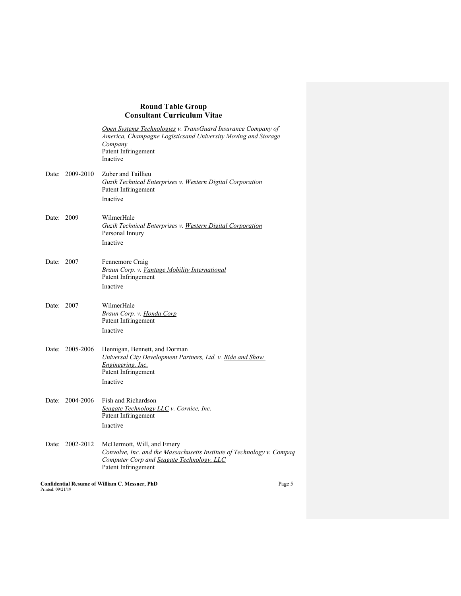|                   |                 | Open Systems Technologies v. TransGuard Insurance Company of<br>America, Champagne Logisticsand University Moving and Storage<br>Company<br>Patent Infringement<br>Inactive |  |
|-------------------|-----------------|-----------------------------------------------------------------------------------------------------------------------------------------------------------------------------|--|
|                   | Date: 2009-2010 | Zuber and Taillieu<br>Guzik Technical Enterprises v. Western Digital Corporation<br>Patent Infringement<br>Inactive                                                         |  |
| Date: 2009        |                 | WilmerHale<br>Guzik Technical Enterprises v. Western Digital Corporation<br>Personal Innury<br>Inactive                                                                     |  |
| Date: 2007        |                 | Fennemore Craig<br>Braun Corp. v. <u>Vantage Mobility International</u><br>Patent Infringement<br>Inactive                                                                  |  |
| Date: 2007        |                 | WilmerHale<br>Braun Corp. v. <u>Honda Corp</u><br>Patent Infringement<br>Inactive                                                                                           |  |
|                   | Date: 2005-2006 | Hennigan, Bennett, and Dorman<br>Universal City Development Partners, Ltd. v. Ride and Show<br>Engineering, Inc.<br>Patent Infringement<br>Inactive                         |  |
|                   | Date: 2004-2006 | Fish and Richardson<br>Seagate Technology LLC v. Cornice, Inc.<br>Patent Infringement<br>Inactive                                                                           |  |
|                   | Date: 2002-2012 | McDermott, Will, and Emery<br>Convolve, Inc. and the Massachusetts Institute of Technology v. Compaq<br>Computer Corp and Seagate Technology, LLC<br>Patent Infringement    |  |
| Printed: 09/21/19 |                 | <b>Confidential Resume of William C. Messner, PhD</b><br>Page 5                                                                                                             |  |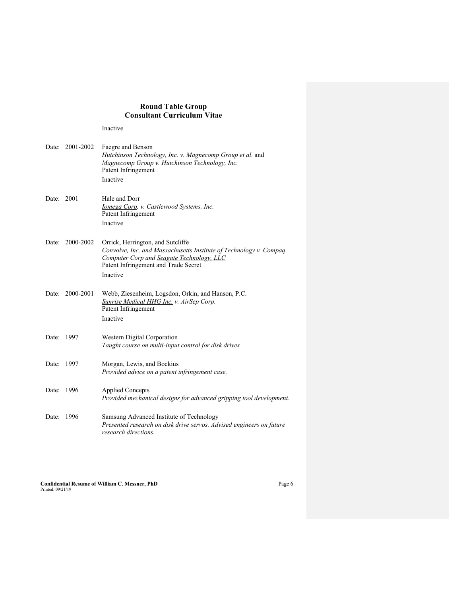Inactive

| Date: | 2001-2002 | Faegre and Benson<br>Hutchinson Technology, Inc. v. Magnecomp Group et al. and                                                           |
|-------|-----------|------------------------------------------------------------------------------------------------------------------------------------------|
|       |           | Magnecomp Group v. Hutchinson Technology, Inc.<br>Patent Infringement                                                                    |
|       |           | Inactive                                                                                                                                 |
| Date: | 2001      | Hale and Dorr                                                                                                                            |
|       |           | Iomega Corp. v. Castlewood Systems, Inc.<br>Patent Infringement                                                                          |
|       |           | Inactive                                                                                                                                 |
| Date: | 2000-2002 | Orrick, Herrington, and Sutcliffe<br>Convolve, Inc. and Massachusetts Institute of Technology v. Compaq                                  |
|       |           | Computer Corp and Seagate Technology, LLC<br>Patent Infringement and Trade Secret                                                        |
|       |           | Inactive                                                                                                                                 |
| Date: | 2000-2001 | Webb, Ziesenheim, Logsdon, Orkin, and Hanson, P.C.<br>Sunrise Medical HHG Inc. v. AirSep Corp.<br>Patent Infringement                    |
|       |           | Inactive                                                                                                                                 |
| Date: | 1997      | Western Digital Corporation<br>Taught course on multi-input control for disk drives                                                      |
| Date: | 1997      | Morgan, Lewis, and Bockius<br>Provided advice on a patent infringement case.                                                             |
| Date: | 1996      | <b>Applied Concepts</b><br>Provided mechanical designs for advanced gripping tool development.                                           |
| Date: | 1996      | Samsung Advanced Institute of Technology<br>Presented research on disk drive servos. Advised engineers on future<br>research directions. |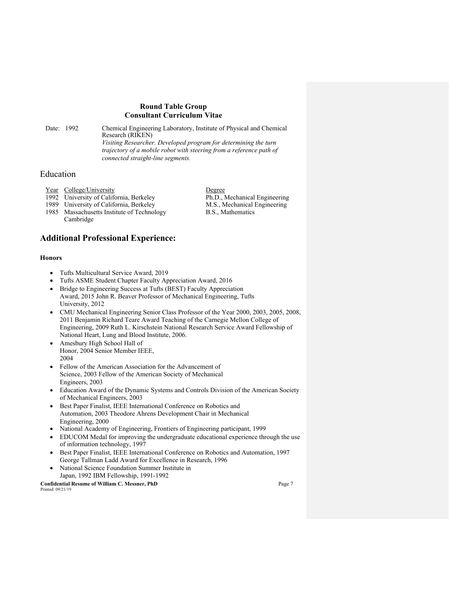Date: 1992 Chemical Engineering Laboratory, Institute of Physical and Chemical Research (RIKEN) *Visiting Researcher. Developed program for determining the turn trajectory of a mobile robot with steering from a reference path of* 

*connected straight-line segments.*

# Education

| Year College/University                    |
|--------------------------------------------|
| 1992 University of California, Berkeley    |
| 1989 University of California, Berkeley    |
| 1985 Massachusetts Institute of Technology |
| Cambridge                                  |

**Additional Professional Experience:**

#### **Honors**

- Tufts Multicultural Service Award, 2019
- Tufts ASME Student Chapter Faculty Appreciation Award, 2016
- Bridge to Engineering Success at Tufts (BEST) Faculty Appreciation Award, 2015 John R. Beaver Professor of Mechanical Engineering, Tufts University, 2012
- CMU Mechanical Engineering Senior Class Professor of the Year 2000, 2003, 2005, 2008, 2011 Benjamin Richard Teare Award Teaching of the Carnegie Mellon College of Engineering, 2009 Ruth L. Kirschstein National Research Service Award Fellowship of National Heart, Lung and Blood Institute, 2006.
- Amesbury High School Hall of Honor, 2004 Senior Member IEEE, 2004
- Fellow of the American Association for the Advancement of Science, 2003 Fellow of the American Society of Mechanical Engineers, 2003
- Education Award of the Dynamic Systems and Controls Division of the American Society of Mechanical Engineers, 2003
- Best Paper Finalist, IEEE International Conference on Robotics and Automation, 2003 Theodore Ahrens Development Chair in Mechanical Engineering, 2000
- National Academy of Engineering, Frontiers of Engineering participant, 1999
- EDUCOM Medal for improving the undergraduate educational experience through the use of information technology, 1997
- Best Paper Finalist, IEEE International Conference on Robotics and Automation, 1997 George Tallman Ladd Award for Excellence in Research, 1996
- National Science Foundation Summer Institute in Japan, 1992 IBM Fellowship, 1991-1992

**Confidential Resume of William C. Messner, PhD** Page 7 Printed: 09/21/19

Degree Ph.D., Mechanical Engineering M.S., Mechanical Engineering B.S., Mathematics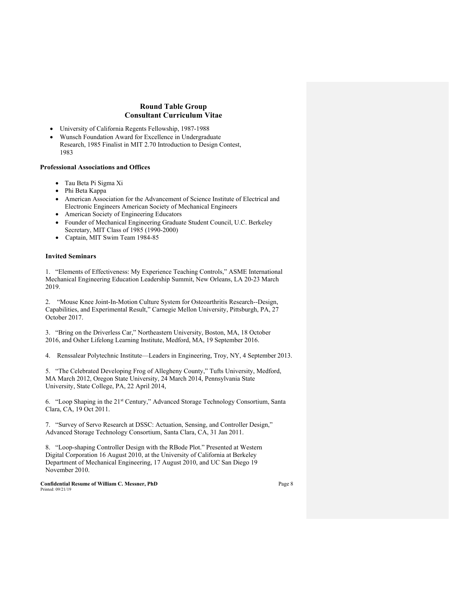- University of California Regents Fellowship, 1987-1988
- Wunsch Foundation Award for Excellence in Undergraduate Research, 1985 Finalist in MIT 2.70 Introduction to Design Contest, 1983

#### **Professional Associations and Offices**

- Tau Beta Pi Sigma Xi
- Phi Beta Kappa
- American Association for the Advancement of Science Institute of Electrical and Electronic Engineers American Society of Mechanical Engineers
- American Society of Engineering Educators
- Founder of Mechanical Engineering Graduate Student Council, U.C. Berkeley Secretary, MIT Class of 1985 (1990-2000)
- Captain, MIT Swim Team 1984-85

#### **Invited Seminars**

1. "Elements of Effectiveness: My Experience Teaching Controls," ASME International Mechanical Engineering Education Leadership Summit, New Orleans, LA 20-23 March 2019.

2. "Mouse Knee Joint-In-Motion Culture System for Osteoarthritis Research--Design, Capabilities, and Experimental Result," Carnegie Mellon University, Pittsburgh, PA, 27 October 2017.

3. "Bring on the Driverless Car," Northeastern University, Boston, MA, 18 October 2016, and Osher Lifelong Learning Institute, Medford, MA, 19 September 2016.

4. Renssalear Polytechnic Institute—Leaders in Engineering, Troy, NY, 4 September 2013.

5. "The Celebrated Developing Frog of Allegheny County," Tufts University, Medford, MA March 2012, Oregon State University, 24 March 2014, Pennsylvania State University, State College, PA, 22 April 2014,

6. "Loop Shaping in the 21st Century," Advanced Storage Technology Consortium, Santa Clara, CA, 19 Oct 2011.

7. "Survey of Servo Research at DSSC: Actuation, Sensing, and Controller Design," Advanced Storage Technology Consortium, Santa Clara, CA, 31 Jan 2011.

8. "Loop-shaping Controller Design with the RBode Plot." Presented at Western Digital Corporation 16 August 2010, at the University of California at Berkeley Department of Mechanical Engineering, 17 August 2010, and UC San Diego 19 November 2010.

**Confidential Resume of William C. Messner, PhD** Page 8 Printed: 09/21/19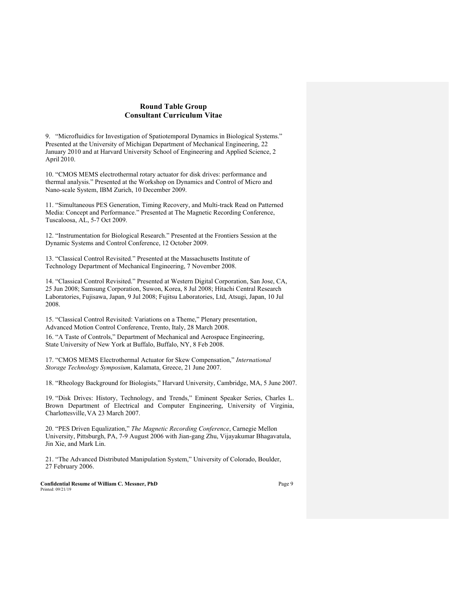9. "Microfluidics for Investigation of Spatiotemporal Dynamics in Biological Systems." Presented at the University of Michigan Department of Mechanical Engineering, 22 January 2010 and at Harvard University School of Engineering and Applied Science, 2 April 2010.

10. "CMOS MEMS electrothermal rotary actuator for disk drives: performance and thermal analysis." Presented at the Workshop on Dynamics and Control of Micro and Nano-scale System, IBM Zurich, 10 December 2009.

11. "Simultaneous PES Generation, Timing Recovery, and Multi-track Read on Patterned Media: Concept and Performance." Presented at The Magnetic Recording Conference, Tuscaloosa, AL, 5-7 Oct 2009.

12. "Instrumentation for Biological Research." Presented at the Frontiers Session at the Dynamic Systems and Control Conference, 12 October 2009.

13. "Classical Control Revisited." Presented at the Massachusetts Institute of Technology Department of Mechanical Engineering, 7 November 2008.

14. "Classical Control Revisited." Presented at Western Digital Corporation, San Jose, CA, 25 Jun 2008; Samsung Corporation, Suwon, Korea, 8 Jul 2008; Hitachi Central Research Laboratories, Fujisawa, Japan, 9 Jul 2008; Fujitsu Laboratories, Ltd, Atsugi, Japan, 10 Jul 2008.

15. "Classical Control Revisited: Variations on a Theme," Plenary presentation, Advanced Motion Control Conference, Trento, Italy, 28 March 2008. 16. "A Taste of Controls," Department of Mechanical and Aerospace Engineering, State University of New York at Buffalo, Buffalo, NY, 8 Feb 2008.

17. "CMOS MEMS Electrothermal Actuator for Skew Compensation," *International Storage Technology Symposium*, Kalamata, Greece, 21 June 2007.

18. "Rheology Background for Biologists," Harvard University, Cambridge, MA, 5 June 2007.

19. "Disk Drives: History, Technology, and Trends," Eminent Speaker Series, Charles L. Brown Department of Electrical and Computer Engineering, University of Virginia, Charlottesville,VA 23 March 2007.

20. "PES Driven Equalization," *The Magnetic Recording Conference*, Carnegie Mellon University, Pittsburgh, PA, 7-9 August 2006 with Jian-gang Zhu, Vijayakumar Bhagavatula, Jin Xie, and Mark Lin.

21. "The Advanced Distributed Manipulation System," University of Colorado, Boulder, 27 February 2006.

**Confidential Resume of William C. Messner, PhD** Page 9 Printed: 09/21/19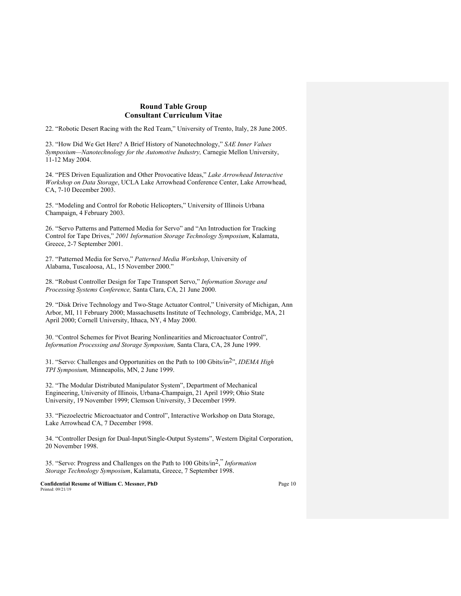22. "Robotic Desert Racing with the Red Team," University of Trento, Italy, 28 June 2005.

23. "How Did We Get Here? A Brief History of Nanotechnology," *SAE Inner Values Symposium—Nanotechnology for the Automotive Industry,* Carnegie Mellon University, 11-12 May 2004.

24. "PES Driven Equalization and Other Provocative Ideas," *Lake Arrowhead Interactive Workshop on Data Storage*, UCLA Lake Arrowhead Conference Center, Lake Arrowhead, CA, 7-10 December 2003.

25. "Modeling and Control for Robotic Helicopters," University of Illinois Urbana Champaign, 4 February 2003.

26. "Servo Patterns and Patterned Media for Servo" and "An Introduction for Tracking Control for Tape Drives," *2001 Information Storage Technology Symposium*, Kalamata, Greece, 2-7 September 2001.

27. "Patterned Media for Servo," *Patterned Media Workshop*, University of Alabama, Tuscaloosa, AL, 15 November 2000."

28. "Robust Controller Design for Tape Transport Servo," *Information Storage and Processing Systems Conference,* Santa Clara, CA, 21 June 2000.

29. "Disk Drive Technology and Two-Stage Actuator Control," University of Michigan, Ann Arbor, MI, 11 February 2000; Massachusetts Institute of Technology, Cambridge, MA, 21 April 2000; Cornell University, Ithaca, NY, 4 May 2000.

30. "Control Schemes for Pivot Bearing Nonlinearities and Microactuator Control", *Information Processing and Storage Symposium,* Santa Clara, CA, 28 June 1999.

31. "Servo: Challenges and Opportunities on the Path to 100 Gbits/in2", *IDEMA High TPI Symposium,* Minneapolis, MN, 2 June 1999.

32. "The Modular Distributed Manipulator System", Department of Mechanical Engineering, University of Illinois, Urbana-Champaign, 21 April 1999; Ohio State University, 19 November 1999; Clemson University, 3 December 1999.

33. "Piezoelectric Microactuator and Control", Interactive Workshop on Data Storage, Lake Arrowhead CA, 7 December 1998.

34. "Controller Design for Dual-Input/Single-Output Systems", Western Digital Corporation, 20 November 1998.

35. "Servo: Progress and Challenges on the Path to 100 Gbits/in2, " *Information Storage Technology Symposium*, Kalamata, Greece, 7 September 1998.

**Confidential Resume of William C. Messner, PhD** Page 10 Printed: 09/21/19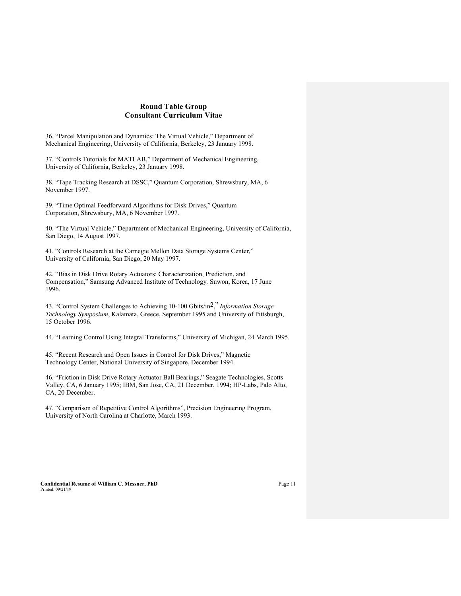36. "Parcel Manipulation and Dynamics: The Virtual Vehicle," Department of Mechanical Engineering, University of California, Berkeley, 23 January 1998.

37. "Controls Tutorials for MATLAB," Department of Mechanical Engineering, University of California, Berkeley, 23 January 1998.

38. "Tape Tracking Research at DSSC," Quantum Corporation, Shrewsbury, MA, 6 November 1997.

39. "Time Optimal Feedforward Algorithms for Disk Drives," Quantum Corporation, Shrewsbury, MA, 6 November 1997.

40. "The Virtual Vehicle," Department of Mechanical Engineering, University of California, San Diego, 14 August 1997.

41. "Controls Research at the Carnegie Mellon Data Storage Systems Center," University of California, San Diego, 20 May 1997.

42. "Bias in Disk Drive Rotary Actuators: Characterization, Prediction, and Compensation," Samsung Advanced Institute of Technology*,* Suwon, Korea, 17 June 1996.

43. "Control System Challenges to Achieving 10-100 Gbits/in2, " *Information Storage Technology Symposium*, Kalamata, Greece, September 1995 and University of Pittsburgh, 15 October 1996.

44. "Learning Control Using Integral Transforms," University of Michigan, 24 March 1995.

45. "Recent Research and Open Issues in Control for Disk Drives," Magnetic Technology Center, National University of Singapore, December 1994.

46. "Friction in Disk Drive Rotary Actuator Ball Bearings," Seagate Technologies, Scotts Valley, CA, 6 January 1995; IBM, San Jose, CA, 21 December, 1994; HP-Labs, Palo Alto, CA, 20 December.

47. "Comparison of Repetitive Control Algorithms", Precision Engineering Program, University of North Carolina at Charlotte, March 1993.

**Confidential Resume of William C. Messner, PhD** Page 11 Printed: 09/21/19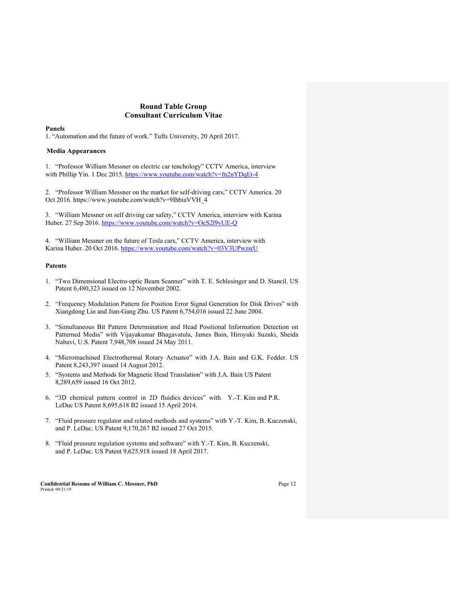#### **Panels**

1. "Automation and the future of work." Tufts University, 20 April 2017.

#### **Media Appearances**

1. "Professor William Messner on electric car tenchology" CCTV America, interview with Phillip Yin. 1 Dec 2015. https://www.youtube.com/watch?v=fn2nYDqEt-4

2. "Professor William Messner on the market for self-driving cars," CCTV America. 20 Oct 2016. https://www.youtube.com/watch?v=9IhbiaVVH\_4

3. "William Messner on self driving car safety," CCTV America, interview with Karina Huber. 27 Sep 2016. https://www.youtube.com/watch?v=OcS2l9vUE-Q

4. "William Messner on the future of Tesla cars," CCTV America, interview with Karina Huber. 20 Oct 2016. https://www.youtube.com/watch?v=03V3UPwzsrU

#### **Patents**

- 1. "Two Dimensional Electro-optic Beam Scanner" with T. E. Schlesinger and D. Stancil. US Patent 6,480,323 issued on 12 November 2002.
- 2. "Frequency Modulation Pattern for Position Error Signal Generation for Disk Drives" with Xiangdong Lin and Jian-Gang Zhu. US Patent 6,754,016 issued 22 June 2004.
- 3. "Simultaneous Bit Pattern Determination and Head Positional Information Detection on Patterned Media" with Vijayakumar Bhagavatula, James Bain, Hiroyuki Suzuki, Sheida Nabavi, U.S. Patent 7,948,708 issued 24 May 2011.
- 4. "Micromachined Electrothermal Rotary Actuator" with J.A. Bain and G.K. Fedder. US Patent 8,243,397 issued 14 August 2012.
- 5. "Systems and Methods for Magnetic Head Translation" with J.A. Bain US Patent 8,289,659 issued 16 Oct 2012.
- 6. "3D chemical pattern control in 2D fluidics devices" with Y.-T. Kim and P.R. LeDuc US Patent 8,695,618 B2 issued 15 April 2014.
- 7. "Fluid pressure regulator and related methods and systems" with Y.-T. Kim, B. Kuczenski, and P. LeDuc. US Patent 9,170,267 B2 issued 27 Oct 2015.
- 8. "Fluid pressure regulation systems and software" with Y.-T. Kim, B. Kuczenski, and P. LeDuc. US Patent 9,625,918 issued 18 April 2017.

**Confidential Resume of William C. Messner, PhD** Page 12 Printed: 09/21/19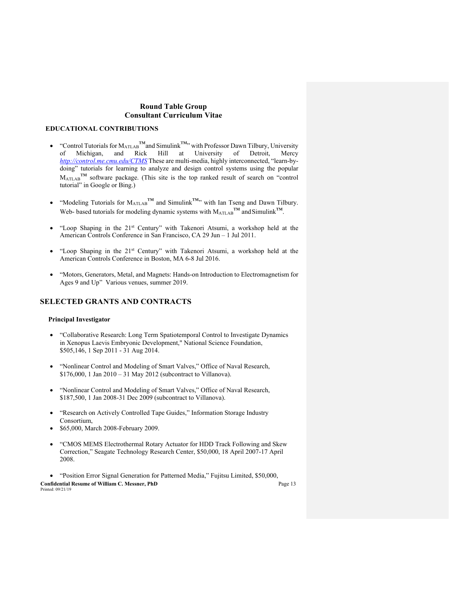### **EDUCATIONAL CONTRIBUTIONS**

- <sup>•</sup> Control Tutorials for M<sub>ATLAB</sub>™and Simulink<sup>™</sup>, with Professor Dawn Tilbury, University<br>of Michigan, and Rick Hill at University of Detroit, Mercy of Michigan, and Rick Hill at University of Detroit, Mercy *http://control.me.cmu.edu/CTMS* These are multi-media, highly interconnected, "learn-bydoing" tutorials for learning to analyze and design control systems using the popular  $M_{ATLAB}$ <sup>TM</sup> software package. (This site is the top ranked result of search on "control tutorial" in Google or Bing.)
- "Modeling Tutorials for  $M_{ATLAB}^T$  and Simulink<sup>™</sup>" with Ian Tseng and Dawn Tilbury. Web- based tutorials for modeling dynamic systems with  $M_{ATLAB}^{TM}$  and Simulink<sup>™</sup>.
- "Loop Shaping in the 21st Century" with Takenori Atsumi, a workshop held at the American Controls Conference in San Francisco, CA 29 Jun – 1 Jul 2011.
- "Loop Shaping in the 21st Century" with Takenori Atsumi, a workshop held at the American Controls Conference in Boston, MA 6-8 Jul 2016.
- "Motors, Generators, Metal, and Magnets: Hands-on Introduction to Electromagnetism for Ages 9 and Up" Various venues, summer 2019.

# **SELECTED GRANTS AND CONTRACTS**

#### **Principal Investigator**

- "Collaborative Research: Long Term Spatiotemporal Control to Investigate Dynamics in Xenopus Laevis Embryonic Development," National Science Foundation, \$505,146, 1 Sep 2011 - 31 Aug 2014.
- "Nonlinear Control and Modeling of Smart Valves," Office of Naval Research, \$176,000, 1 Jan 2010 – 31 May 2012 (subcontract to Villanova).
- "Nonlinear Control and Modeling of Smart Valves," Office of Naval Research, \$187,500, 1 Jan 2008-31 Dec 2009 (subcontract to Villanova).
- "Research on Actively Controlled Tape Guides," Information Storage Industry Consortium,
- \$65,000, March 2008-February 2009.
- "CMOS MEMS Electrothermal Rotary Actuator for HDD Track Following and Skew Correction," Seagate Technology Research Center, \$50,000, 18 April 2007-17 April 2008.

**Confidential Resume of William C. Messner, PhD** Page 13 Printed: 09/21/19 • "Position Error Signal Generation for Patterned Media," Fujitsu Limited, \$50,000,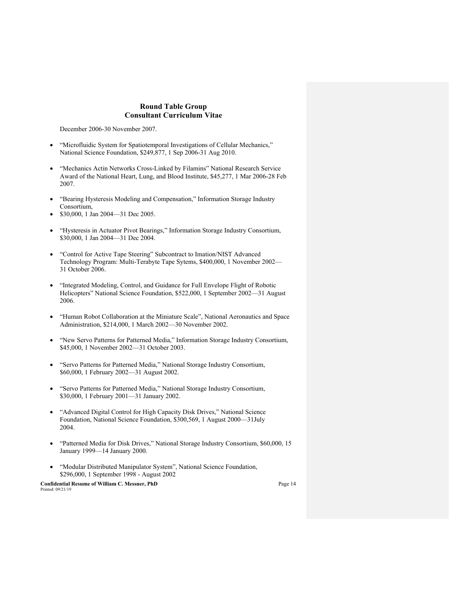December 2006-30 November 2007.

- "Microfluidic System for Spatiotemporal Investigations of Cellular Mechanics," National Science Foundation, \$249,877, 1 Sep 2006-31 Aug 2010.
- "Mechanics Actin Networks Cross-Linked by Filamins" National Research Service Award of the National Heart, Lung, and Blood Institute, \$45,277, 1 Mar 2006-28 Feb 2007.
- "Bearing Hysteresis Modeling and Compensation," Information Storage Industry Consortium,
- \$30,000, 1 Jan 2004—31 Dec 2005.
- "Hysteresis in Actuator Pivot Bearings," Information Storage Industry Consortium, \$30,000, 1 Jan 2004—31 Dec 2004.
- "Control for Active Tape Steering" Subcontract to Imation/NIST Advanced Technology Program: Multi-Terabyte Tape Sytems, \$400,000, 1 November 2002— 31 October 2006.
- "Integrated Modeling, Control, and Guidance for Full Envelope Flight of Robotic Helicopters" National Science Foundation, \$522,000, 1 September 2002—31 August 2006.
- "Human Robot Collaboration at the Miniature Scale", National Aeronautics and Space Administration, \$214,000, 1 March 2002—30 November 2002.
- "New Servo Patterns for Patterned Media," Information Storage Industry Consortium, \$45,000, 1 November 2002—31 October 2003.
- "Servo Patterns for Patterned Media," National Storage Industry Consortium, \$60,000, 1 February 2002—31 August 2002.
- "Servo Patterns for Patterned Media," National Storage Industry Consortium, \$30,000, 1 February 2001—31 January 2002.
- "Advanced Digital Control for High Capacity Disk Drives," National Science Foundation, National Science Foundation, \$300,569, 1 August 2000—31July 2004.
- "Patterned Media for Disk Drives," National Storage Industry Consortium, \$60,000, 15 January 1999—14 January 2000.
- "Modular Distributed Manipulator System", National Science Foundation, \$296,000, 1 September 1998 - August 2002

**Confidential Resume of William C. Messner, PhD** Page 14 Printed: 09/21/19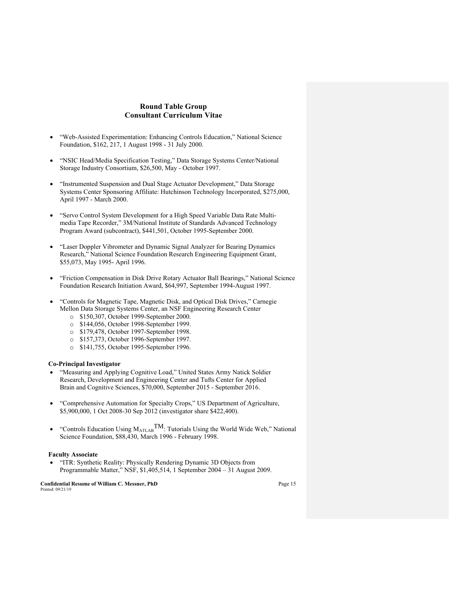- "Web-Assisted Experimentation: Enhancing Controls Education," National Science Foundation, \$162, 217, 1 August 1998 - 31 July 2000.
- "NSIC Head/Media Specification Testing," Data Storage Systems Center/National Storage Industry Consortium, \$26,500, May - October 1997.
- "Instrumented Suspension and Dual Stage Actuator Development," Data Storage Systems Center Sponsoring Affiliate: Hutchinson Technology Incorporated, \$275,000, April 1997 - March 2000.
- "Servo Control System Development for a High Speed Variable Data Rate Multimedia Tape Recorder," 3M/National Institute of Standards Advanced Technology Program Award (subcontract), \$441,501, October 1995-September 2000.
- "Laser Doppler Vibrometer and Dynamic Signal Analyzer for Bearing Dynamics Research," National Science Foundation Research Engineering Equipment Grant, \$55,073, May 1995- April 1996.
- "Friction Compensation in Disk Drive Rotary Actuator Ball Bearings," National Science Foundation Research Initiation Award, \$64,997, September 1994-August 1997.
- "Controls for Magnetic Tape, Magnetic Disk, and Optical Disk Drives," Carnegie Mellon Data Storage Systems Center, an NSF Engineering Research Center
	- o \$150,307, October 1999-September 2000.
	- o \$144,056, October 1998-September 1999.
	- o \$179,478, October 1997-September 1998.
	- o \$157,373, October 1996-September 1997.
	- o \$141,755, October 1995-September 1996.

### **Co-Principal Investigator**

- "Measuring and Applying Cognitive Load," United States Army Natick Soldier Research, Development and Engineering Center and Tufts Center for Applied Brain and Cognitive Sciences, \$70,000, September 2015 - September 2016.
- "Comprehensive Automation for Specialty Crops," US Department of Agriculture, \$5,900,000, 1 Oct 2008-30 Sep 2012 (investigator share \$422,400).
- "Controls Education Using  $M_{ATLAB}TM$ : Tutorials Using the World Wide Web," National Science Foundation, \$88,430, March 1996 - February 1998.

#### **Faculty Associate**

• "ITR: Synthetic Reality: Physically Rendering Dynamic 3D Objects from Programmable Matter," NSF, \$1,405,514, 1 September 2004 – 31 August 2009.

**Confidential Resume of William C. Messner, PhD** Page 15 Printed: 09/21/19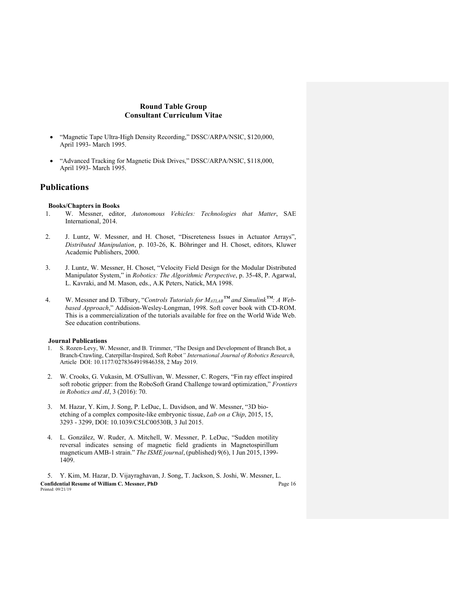- "Magnetic Tape Ultra-High Density Recording," DSSC/ARPA/NSIC, \$120,000, April 1993- March 1995.
- "Advanced Tracking for Magnetic Disk Drives," DSSC/ARPA/NSIC, \$118,000, April 1993- March 1995.

# **Publications**

#### **Books/Chapters in Books**

- 1. W. Messner, editor, *Autonomous Vehicles: Technologies that Matter*, SAE International, 2014.
- 2. J. Luntz, W. Messner, and H. Choset, "Discreteness Issues in Actuator Arrays", *Distributed Manipulation*, p. 103-26, K. Böhringer and H. Choset, editors, Kluwer Academic Publishers, 2000.
- 3. J. Luntz, W. Messner, H. Choset, "Velocity Field Design for the Modular Distributed Manipulator System," in *Robotics: The Algorithmic Perspective*, p. 35-48, P. Agarwal, L. Kavraki, and M. Mason, eds., A.K Peters, Natick, MA 1998.
- 4. W. Messner and D. Tilbury, "*Controls Tutorials for MATLAB™ and Simulink™: A Webbased Approach*," Addision-Wesley-Longman, 1998. Soft cover book with CD-ROM. This is a commercialization of the tutorials available for free on the World Wide Web. See education contributions.

#### **Journal Publications**

- 1. S. Rozen-Levy, W. Messner, and B. Trimmer, "The Design and Development of Branch Bot, a Branch-Crawling, Caterpillar-Inspired, Soft Robot*" International Journal of Robotics Research*, Article DOI: 10.1177/0278364919846358, 2 May 2019.
- 2. W. Crooks, G. Vukasin, M. O'Sullivan, W. Messner, C. Rogers, "Fin ray effect inspired soft robotic gripper: from the RoboSoft Grand Challenge toward optimization," *Frontiers in Robotics and AI*, 3 (2016): 70.
- 3. M. Hazar, Y. Kim, J. Song, P. LeDuc, L. Davidson, and W. Messner, "3D bioetching of a complex composite-like embryonic tissue, *Lab on a Chip*, 2015, 15, 3293 - 3299, DOI: 10.1039/C5LC00530B, 3 Jul 2015.
- 4. L. González, W. Ruder, A. Mitchell, W. Messner, P. LeDuc, "Sudden motility reversal indicates sensing of magnetic field gradients in Magnetospirillum magneticum AMB-1 strain." *The ISME journal*, (published) 9(6), 1 Jun 2015, 1399- 1409.

**Confidential Resume of William C. Messner, PhD** Page 16 Printed: 09/21/19 5. Y. Kim, M. Hazar, D. Vijayraghavan, J. Song, T. Jackson, S. Joshi, W. Messner, L.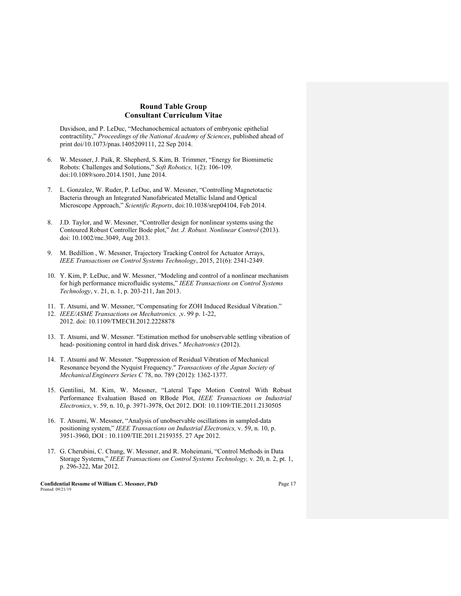Davidson, and P. LeDuc, "Mechanochemical actuators of embryonic epithelial contractility," *Proceedings of the National Academy of Sciences*, published ahead of print doi/10.1073/pnas.1405209111, 22 Sep 2014.

- 6. W. Messner, J. Paik, R. Shepherd, S. Kim, B. Trimmer, "Energy for Biomimetic Robots: Challenges and Solutions," *Soft Robotics,* 1(2): 106-109. doi:10.1089/soro.2014.1501, June 2014.
- 7. L. Gonzalez, W. Ruder, P. LeDuc, and W. Messner, "Controlling Magnetotactic Bacteria through an Integrated Nanofabricated Metallic Island and Optical Microscope Approach," *Scientific Reports*, doi:10.1038/srep04104, Feb 2014.
- 8. J.D. Taylor, and W. Messner, "Controller design for nonlinear systems using the Contoured Robust Controller Bode plot," *Int. J. Robust. Nonlinear Control* (2013). doi: 10.1002/rnc.3049, Aug 2013.
- 9. M. Bedillion , W. Messner, Trajectory Tracking Control for Actuator Arrays, *IEEE Transactions on Control Systems Technology*, 2015, 21(6): 2341-2349.
- 10. Y. Kim, P. LeDuc, and W. Messner, "Modeling and control of a nonlinear mechanism for high performance microfluidic systems," *IEEE Transactions on Control Systems Technology*, v. 21, n. 1, p. 203-211, Jan 2013.
- 11. T. Atsumi, and W. Messner, "Compensating for ZOH Induced Residual Vibration."
- 12. *IEEE/ASME Transactions on Mechatronics.* ,v. 99 p. 1-22, 2012. doi: 10.1109/TMECH.2012.2228878
- 13. T. Atsumi, and W. Messner. "Estimation method for unobservable settling vibration of head- positioning control in hard disk drives." *Mechatronics* (2012).
- 14. T. Atsumi and W. Messner. "Suppression of Residual Vibration of Mechanical Resonance beyond the Nyquist Frequency." *Transactions of the Japan Society of Mechanical Engineers Series C* 78, no. 789 (2012): 1362-1377.
- 15. Gentilini, M. Kim, W. Messner, "Lateral Tape Motion Control With Robust Performance Evaluation Based on RBode Plot, *IEEE Transactions on Industrial Electronics*, v. 59, n. 10, p. 3971-3978, Oct 2012. DOI: 10.1109/TIE.2011.2130505
- 16. T. Atsumi, W. Messner, "Analysis of unobservable oscillations in sampled-data positioning system," *IEEE Transactions on Industrial Electronics,* v. 59, n. 10, p. 3951-3960, DOI : 10.1109/TIE.2011.2159355. 27 Apr 2012.
- 17. G. Cherubini, C. Chung, W. Messner, and R. Moheimani, "Control Methods in Data Storage Systems," *IEEE Transactions on Control Systems Technology,* v*.* 20, n. 2, pt. 1, p. 296-322, Mar 2012.

**Confidential Resume of William C. Messner, PhD** Page 17 Printed: 09/21/19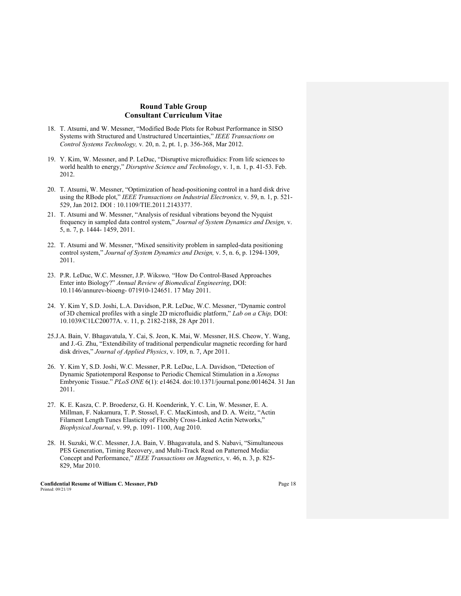- 18. T. Atsumi, and W. Messner, "Modified Bode Plots for Robust Performance in SISO Systems with Structured and Unstructured Uncertainties," *IEEE Transactions on Control Systems Technology,* v*.* 20, n. 2, pt. 1, p. 356-368, Mar 2012.
- 19. Y. Kim, W. Messner, and P. LeDuc, "Disruptive microfluidics: From life sciences to world health to energy," *Disruptive Science and Technology*, v. 1, n. 1, p. 41-53. Feb. 2012.
- 20. T. Atsumi, W. Messner, "Optimization of head-positioning control in a hard disk drive using the RBode plot," *IEEE Transactions on Industrial Electronics,* v. 59, n. 1, p. 521- 529, Jan 2012. DOI : 10.1109/TIE.2011.2143377.
- 21. T. Atsumi and W. Messner, "Analysis of residual vibrations beyond the Nyquist frequency in sampled data control system," *Journal of System Dynamics and Design,* v. 5, n. 7, p. 1444- 1459, 2011.
- 22. T. Atsumi and W. Messner, "Mixed sensitivity problem in sampled-data positioning control system," *Journal of System Dynamics and Design,* v. 5, n. 6, p. 1294-1309, 2011.
- 23. P.R. LeDuc, W.C. Messner, J.P. Wikswo*,* "How Do Control-Based Approaches Enter into Biology?" *Annual Review of Biomedical Engineering*, DOI: 10.1146/annurev-bioeng- 071910-124651. 17 May 2011.
- 24. Y. Kim Y, S.D. Joshi, L.A. Davidson, P.R. LeDuc, W.C. Messner, "Dynamic control of 3D chemical profiles with a single 2D microfluidic platform," *Lab on a Chip,* DOI: 10.1039/C1LC20077A. v. 11, p. 2182-2188, 28 Apr 2011.
- 25.J.A. Bain, V. Bhagavatula, Y. Cai, S. Jeon, K. Mai, W. Messner, H.S. Cheow, Y. Wang, and J.-G. Zhu, "Extendibility of traditional perpendicular magnetic recording for hard disk drives," *Journal of Applied Physics*, v. 109, n. 7, Apr 2011.
- 26. Y. Kim Y, S.D. Joshi, W.C. Messner, P.R. LeDuc, L.A. Davidson, "Detection of Dynamic Spatiotemporal Response to Periodic Chemical Stimulation in a *Xenopus*  Embryonic Tissue." *PLoS ONE* 6(1): e14624. doi:10.1371/journal.pone.0014624. 31 Jan 2011.
- 27. K. E. Kasza, C. P. Broedersz, G. H. Koenderink, Y. C. Lin, W. Messner, E. A. Millman, F. Nakamura, T. P. Stossel, F. C. MacKintosh, and D. A. Weitz, "Actin Filament Length Tunes Elasticity of Flexibly Cross-Linked Actin Networks," *Biophysical Journal*, v. 99, p. 1091- 1100, Aug 2010.
- 28. H. Suzuki, W.C. Messner, J.A. Bain, V. Bhagavatula, and S. Nabavi, "Simultaneous PES Generation, Timing Recovery, and Multi-Track Read on Patterned Media: Concept and Performance," *IEEE Transactions on Magnetics*, v. 46, n. 3, p. 825- 829, Mar 2010.

**Confidential Resume of William C. Messner, PhD** Page 18 Printed: 09/21/19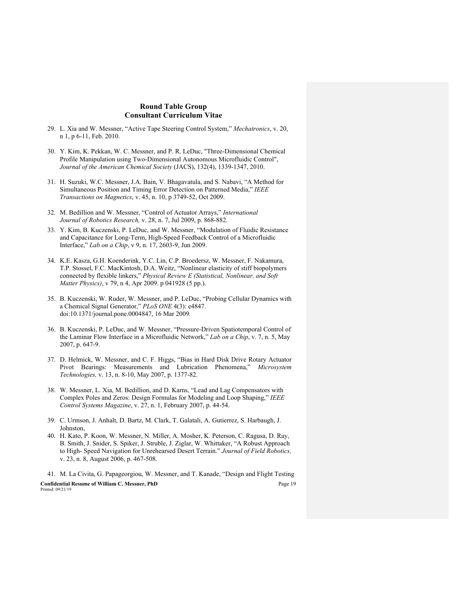- 29. L. Xia and W. Messner, "Active Tape Steering Control System," *Mechatronics*, v. 20, n 1, p 6-11, Feb. 2010.
- 30. Y. Kim, K. Pekkan, W. C. Messner, and P. R. LeDuc, "Three-Dimensional Chemical Profile Manipulation using Two-Dimensional Autonomous Microfluidic Control", *Journal of the American Chemical Society* (JACS), 132(4), 1339-1347, 2010.
- 31. H. Suzuki, W.C. Messner, J.A. Bain, V. Bhagavatula, and S. Nabavi, "A Method for Simultaneous Position and Timing Error Detection on Patterned Media," *IEEE Transactions on Magnetics*, v. 45, n. 10, p 3749-52, Oct 2009.
- 32. M. Bedillion and W. Messner, "Control of Actuator Arrays," *International Journal of Robotics Research,* v. 28, n. 7, Jul 2009, p. 868-882.
- 33. Y. Kim, B. Kuczenski, P. LeDuc, and W. Messner, "Modulation of Fluidic Resistance and Capacitance for Long-Term, High-Speed Feedback Control of a Microfluidic Interface," *Lab on a Chip*, v 9, n. 17, 2603-9, Jun 2009.
- 34. K.E. Kasza, G.H. Koenderink, Y.C. Lin, C.P. Broedersz, W. Messner, F. Nakamura, T.P. Stossel, F.C. MacKintosh, D.A. Weitz, "Nonlinear elasticity of stiff biopolymers connected by flexible linkers," *Physical Review E (Statistical, Nonlinear, and Soft Matter Physics)*, v 79, n 4, Apr 2009. p 041928 (5 pp.).
- 35. B. Kuczenski, W. Ruder, W. Messner, and P. LeDuc, "Probing Cellular Dynamics with a Chemical Signal Generator," *PLoS ONE* 4(3): e4847. doi:10.1371/journal.pone.0004847, 16 Mar 2009*.*
- 36. B. Kuczenski, P. LeDuc, and W. Messner, "Pressure-Driven Spatiotemporal Control of the Laminar Flow Interface in a Microfluidic Network," *Lab on a Chip*, v. 7, n. 5, May 2007, p. 647-9.
- 37. D. Helmick, W. Messner, and C. F. Higgs, "Bias in Hard Disk Drive Rotary Actuator Pivot Bearings: Measurements and Lubrication Phenomena," *Microsystem Technologies,* v. 13, n. 8-10, May 2007, p. 1377-82.
- 38. W. Messner, L. Xia, M. Bedillion, and D. Karns, "Lead and Lag Compensators with Complex Poles and Zeros: Design Formulas for Modeling and Loop Shaping," *IEEE Control Systems Magazine*, v. 27, n. 1, February 2007, p. 44-54.
- 39. C. Urmson, J. Anhalt, D. Bartz, M. Clark, T. Galatali, A. Gutierrez, S. Harbaugh, J. Johnston,
- 40. H. Kato, P. Koon, W. Messner, N. Miller, A. Mosher, K. Peterson, C. Ragusa, D. Ray, B. Smith, J. Snider, S. Spiker, J. Struble, J. Ziglar, W. Whittaker, "A Robust Approach to High- Speed Navigation for Unrehearsed Desert Terrain." *Journal of Field Robotics,*  v. 23, n. 8, August 2006, p. 467-508.

**Confidential Resume of William C. Messner, PhD** Page 19 Printed: 09/21/19 41. M. La Civita, G. Papageorgiou, W. Messner, and T. Kanade, "Design and Flight Testing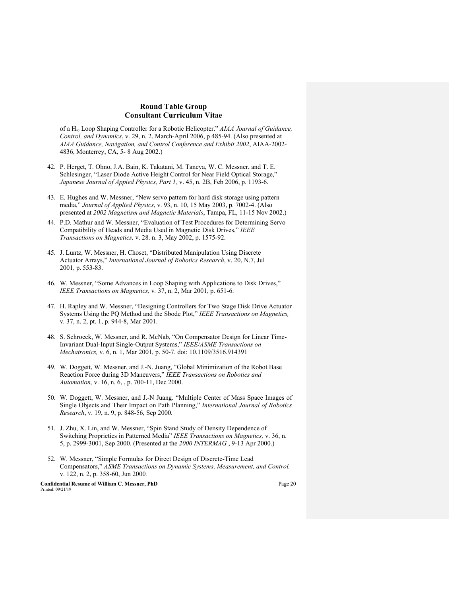of a H∞ Loop Shaping Controller for a Robotic Helicopter." *AIAA Journal of Guidance, Control, and Dynamics*, v. 29, n. 2. March-April 2006, p 485-94. (Also presented at *AIAA Guidance, Navigation, and Control Conference and Exhibit 2002*, AIAA-2002- 4836, Monterrey, CA, 5- 8 Aug 2002.)

- 42. P. Herget, T. Ohno, J.A. Bain, K. Takatani, M. Taneya, W. C. Messner, and T. E. Schlesinger, "Laser Diode Active Height Control for Near Field Optical Storage," *Japanese Journal of Appied Physics, Part 1,* v. 45, n. 2B, Feb 2006, p. 1193-6.
- 43. E. Hughes and W. Messner, "New servo pattern for hard disk storage using pattern media," *Journal of Applied Physics*, v. 93, n. 10, 15 May 2003, p. 7002-4. (Also presented at *2002 Magnetism and Magnetic Materials*, Tampa, FL, 11-15 Nov 2002.)
- 44. P.D. Mathur and W. Messner, "Evaluation of Test Procedures for Determining Servo Compatibility of Heads and Media Used in Magnetic Disk Drives," *IEEE Transactions on Magnetics,* v. 28. n. 3, May 2002, p. 1575-92.
- 45. J. Luntz, W. Messner, H. Choset, "Distributed Manipulation Using Discrete Actuator Arrays," *International Journal of Robotics Research*, v. 20, N.7, Jul 2001, p. 553-83.
- 46. W. Messner, "Some Advances in Loop Shaping with Applications to Disk Drives," *IEEE Transactions on Magnetics,* v*.* 37, n. 2, Mar 2001, p. 651-6.
- 47. H. Rapley and W. Messner, "Designing Controllers for Two Stage Disk Drive Actuator Systems Using the PQ Method and the Sbode Plot," *IEEE Transactions on Magnetics,*  v*.* 37, n. 2, pt. 1, p. 944-8, Mar 2001.
- 48. S. Schroeck, W. Messner, and R. McNab, "On Compensator Design for Linear Time-Invariant Dual-Input Single-Output Systems," *IEEE/ASME Transactions on Mechatronics,* v*.* 6, n. 1, Mar 2001, p. 50-7*.* doi: 10.1109/3516.914391
- 49. W. Doggett, W. Messner, and J.-N. Juang, "Global Minimization of the Robot Base Reaction Force during 3D Maneuvers," *IEEE Transactions on Robotics and Automation,* v. 16, n. 6, , p. 700-11, Dec 2000.
- 50. W. Doggett, W. Messner, and J.-N Juang. "Multiple Center of Mass Space Images of Single Objects and Their Impact on Path Planning," *International Journal of Robotics Research*, v. 19, n. 9, p. 848-56, Sep 2000*.*
- 51. J. Zhu, X. Lin, and W. Messner, "Spin Stand Study of Density Dependence of Switching Proprieties in Patterned Media" *IEEE Transactions on Magnetics,* v. 36, n. 5, p. 2999-3001, Sep 2000*.* (Presented at the *2000 INTERMAG* , 9-13 Apr 2000.)
- 52. W. Messner, "Simple Formulas for Direct Design of Discrete-Time Lead Compensators," *ASME Transactions on Dynamic Systems, Measurement, and Control,*  v. 122, n. 2, p. 358-60, Jun 2000*.*

**Confidential Resume of William C. Messner, PhD** Page 20 Printed: 09/21/19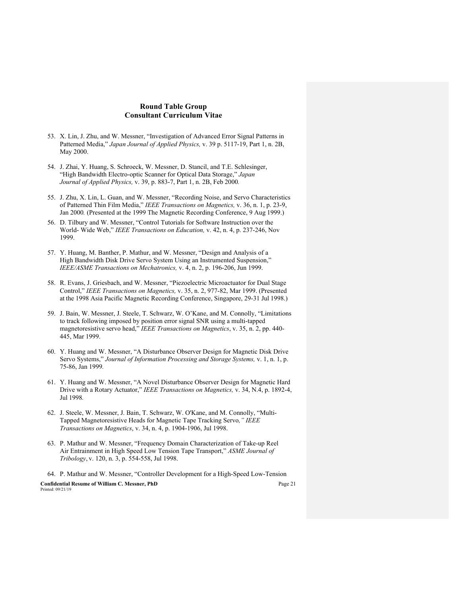- 53. X. Lin, J. Zhu, and W. Messner, "Investigation of Advanced Error Signal Patterns in Patterned Media," *Japan Journal of Applied Physics,* v. 39 p. 5117-19, Part 1, n. 2B, May 2000.
- 54. J. Zhai, Y. Huang, S. Schroeck, W. Messner, D. Stancil, and T.E. Schlesinger, "High Bandwidth Electro-optic Scanner for Optical Data Storage," *Japan Journal of Applied Physics,* v. 39, p. 883-7, Part 1, n. 2B, Feb 2000*.*
- 55. J. Zhu, X. Lin, L. Guan, and W. Messner, "Recording Noise, and Servo Characteristics of Patterned Thin Film Media," *IEEE Transactions on Magnetics,* v. 36, n. 1, p. 23-9, Jan 2000*.* (Presented at the 1999 The Magnetic Recording Conference, 9 Aug 1999.)
- 56. D. Tilbury and W. Messner, "Control Tutorials for Software Instruction over the World- Wide Web," *IEEE Transactions on Education,* v. 42, n. 4, p. 237-246, Nov 1999.
- 57. Y. Huang, M. Banther, P. Mathur, and W. Messner, "Design and Analysis of a High Bandwidth Disk Drive Servo System Using an Instrumented Suspension," *IEEE/ASME Transactions on Mechatronics,* v. 4, n. 2, p. 196-206, Jun 1999.
- 58. R. Evans, J. Griesbach, and W. Messner, "Piezoelectric Microactuator for Dual Stage Control," *IEEE Transactions on Magnetics,* v. 35, n. 2, 977-82, Mar 1999. (Presented at the 1998 Asia Pacific Magnetic Recording Conference, Singapore, 29-31 Jul 1998.)
- 59. J. Bain, W. Messner, J. Steele, T. Schwarz, W. O'Kane, and M. Connolly, "Limitations to track following imposed by position error signal SNR using a multi-tapped magnetoresistive servo head," *IEEE Transactions on Magnetics*, v. 35, n. 2, pp. 440- 445, Mar 1999.
- 60. Y. Huang and W. Messner, "A Disturbance Observer Design for Magnetic Disk Drive Servo Systems," *Journal of Information Processing and Storage Systems,* v. 1, n. 1, p. 75-86, Jan 1999*.*
- 61. Y. Huang and W. Messner, "A Novel Disturbance Observer Design for Magnetic Hard Drive with a Rotary Actuator," *IEEE Transactions on Magnetics,* v. 34, N.4, p. 1892-4, Jul 1998*.*
- 62. J. Steele, W. Messner, J. Bain, T. Schwarz, W. O'Kane, and M. Connolly, "Multi-Tapped Magnetoresistive Heads for Magnetic Tape Tracking Servo*," IEEE Transactions on Magnetics*, v. 34, n. 4, p. 1904-1906, Jul 1998.
- 63. P. Mathur and W. Messner, "Frequency Domain Characterization of Take-up Reel Air Entrainment in High Speed Low Tension Tape Transport," *ASME Journal of Tribology*, v. 120, n. 3, p. 554-558, Jul 1998.

**Confidential Resume of William C. Messner, PhD** Page 21 Printed: 09/21/19 64. P. Mathur and W. Messner, "Controller Development for a High-Speed Low-Tension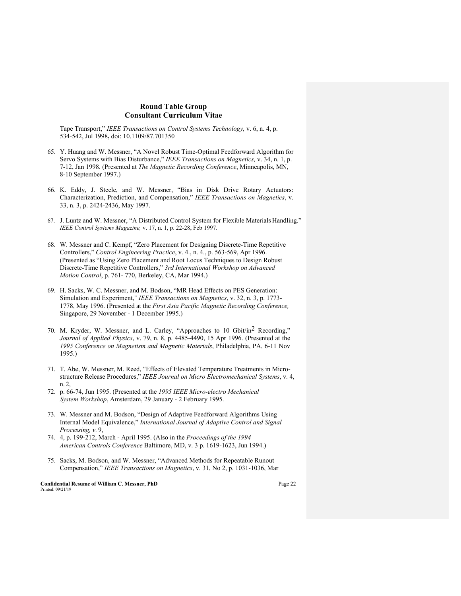Tape Transport," *IEEE Transactions on Control Systems Technology,* v. 6, n. 4, p. 534-542, Jul 1998**,** doi: 10.1109/87.701350

- 65. Y. Huang and W. Messner, "A Novel Robust Time-Optimal Feedforward Algorithm for Servo Systems with Bias Disturbance," *IEEE Transactions on Magnetics,* v. 34, n. 1, p. 7-12, Jan 1998*.* (Presented at *The Magnetic Recording Conference*, Minneapolis, MN, 8-10 September 1997.)
- 66. K. Eddy, J. Steele, and W. Messner, "Bias in Disk Drive Rotary Actuators: Characterization, Prediction, and Compensation," *IEEE Transactions on Magnetics*, v. 33, n. 3, p. 2424-2436, May 1997.
- 67. J. Luntz and W. Messner, "A Distributed Control System for Flexible Materials Handling." *IEEE Control Systems Magazine,* v. 17, n. 1, p. 22-28, Feb 1997.
- 68. W. Messner and C. Kempf, "Zero Placement for Designing Discrete-Time Repetitive Controllers," *Control Engineering Practice*, v. 4., n. 4., p. 563-569, Apr 1996. (Presented as "Using Zero Placement and Root Locus Techniques to Design Robust Discrete-Time Repetitive Controllers," *3rd International Workshop on Advanced Motion Control*, p. 761- 770, Berkeley, CA, Mar 1994.)
- 69. H. Sacks, W. C. Messner, and M. Bodson, "MR Head Effects on PES Generation: Simulation and Experiment," *IEEE Transactions on Magnetics*, v. 32, n. 3, p. 1773- 1778, May 1996. (Presented at the *First Asia Pacific Magnetic Recording Conference,*  Singapore, 29 November - 1 December 1995.)
- 70. M. Kryder, W. Messner, and L. Carley, "Approaches to 10 Gbit/in2 Recording," *Journal of Applied Physics*, v. 79, n. 8, p. 4485-4490, 15 Apr 1996. (Presented at the *1995 Conference on Magnetism and Magnetic Materials*, Philadelphia, PA, 6-11 Nov 1995.)
- 71. T. Abe, W. Messner, M. Reed, "Effects of Elevated Temperature Treatments in Microstructure Release Procedures," *IEEE Journal on Micro Electromechanical Systems*, v. 4, n. 2,
- 72. p. 66-74, Jun 1995. (Presented at the *1995 IEEE Micro-electro Mechanical System Workshop*, Amsterdam, 29 January - 2 February 1995.
- 73. W. Messner and M. Bodson, "Design of Adaptive Feedforward Algorithms Using Internal Model Equivalence," *International Journal of Adaptive Control and Signal Processing, v.* 9,
- 74. 4, p. 199-212, March April 1995. (Also in the *Proceedings of the 1994 American Controls Conference* Baltimore, MD, v. 3 p. 1619-1623, Jun 1994.)
- 75. Sacks, M. Bodson, and W. Messner, "Advanced Methods for Repeatable Runout Compensation," *IEEE Transactions on Magnetics*, v. 31, No 2, p. 1031-1036, Mar

**Confidential Resume of William C. Messner, PhD** Page 22 Printed: 09/21/19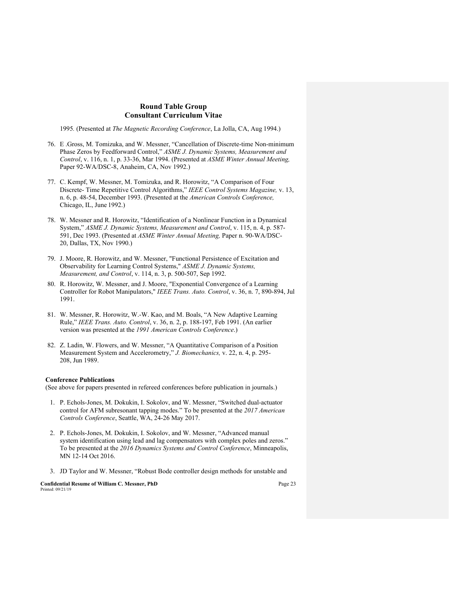1995*.* (Presented at *The Magnetic Recording Conference*, La Jolla, CA, Aug 1994.)

- 76. E .Gross, M. Tomizuka, and W. Messner, "Cancellation of Discrete-time Non-minimum Phase Zeros by Feedforward Control," *ASME J. Dynamic Systems, Measurement and Control*, v. 116, n. 1, p. 33-36, Mar 1994. (Presented at *ASME Winter Annual Meeting,* Paper 92-WA/DSC-8, Anaheim, CA, Nov 1992.)
- 77. C. Kempf, W. Messner, M. Tomizuka, and R. Horowitz, "A Comparison of Four Discrete- Time Repetitive Control Algorithms," *IEEE Control Systems Magazine,* v. 13, n. 6, p. 48-54, December 1993. (Presented at the *American Controls Conference,*  Chicago, IL, June 1992.)
- 78. W. Messner and R. Horowitz, "Identification of a Nonlinear Function in a Dynamical System," *ASME J. Dynamic Systems, Measurement and Control*, v. 115, n. 4, p. 587- 591, Dec 1993. (Presented at *ASME Winter Annual Meeting,* Paper n. 90-WA/DSC-20, Dallas, TX, Nov 1990.)
- 79. J. Moore, R. Horowitz, and W. Messner, "Functional Persistence of Excitation and Observability for Learning Control Systems," *ASME J. Dynamic Systems, Measurement, and Control*, v. 114, n. 3, p. 500-507, Sep 1992.
- 80. R. Horowitz, W. Messner, and J. Moore, "Exponential Convergence of a Learning Controller for Robot Manipulators," *IEEE Trans. Auto. Control*, v. 36, n. 7, 890-894, Jul 1991.
- 81. W. Messner, R. Horowitz, W.-W. Kao, and M. Boals, "A New Adaptive Learning Rule," *IEEE Trans. Auto. Control*, v. 36, n. 2, p. 188-197, Feb 1991. (An earlier version was presented at the *1991 American Controls Conference*.)
- 82. Z. Ladin, W. Flowers, and W. Messner, "A Quantitative Comparison of a Position Measurement System and Accelerometry," *J. Biomechanics,* v. 22, n. 4, p. 295- 208, Jun 1989.

#### **Conference Publications**

(See above for papers presented in refereed conferences before publication in journals.)

- 1. P. Echols-Jones, M. Dokukin, I. Sokolov, and W. Messner, "Switched dual-actuator control for AFM subresonant tapping modes." To be presented at the *2017 American Controls Conference*, Seattle, WA, 24-26 May 2017.
- 2. P. Echols-Jones, M. Dokukin, I. Sokolov, and W. Messner, "Advanced manual system identification using lead and lag compensators with complex poles and zeros." To be presented at the *2016 Dynamics Systems and Control Conference*, Minneapolis, MN 12-14 Oct 2016.
- 3. JD Taylor and W. Messner, "Robust Bode controller design methods for unstable and

**Confidential Resume of William C. Messner, PhD** Page 23 Printed: 09/21/19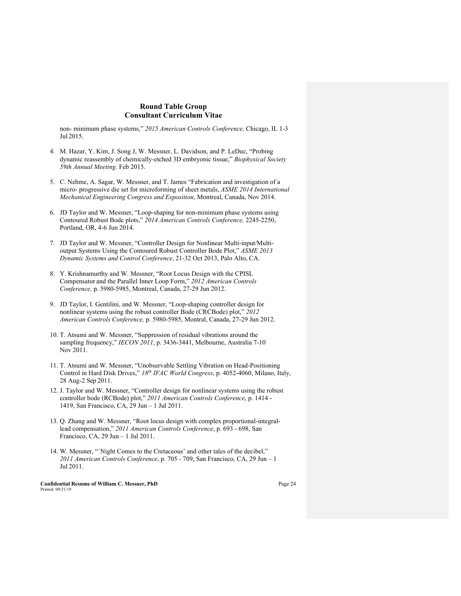non- minimum phase systems," *2015 American Controls Conference,* Chicago, IL 1-3 Jul 2015.

- 4. M. Hazar, Y. Kim, J. Song J, W. Messner, L. Davidson, and P. LeDuc, "Probing dynamic reassembly of chemically-etched 3D embryonic tissue," *Biophysical Society 59th Annual Meeting*. Feb 2015.
- 5. C. Nehme, A. Sagar, W. Messner, and T. James "Fabrication and investigation of a micro- progressive die set for microforming of sheet metals, *ASME 2014 International Mechanical Engineering Congress and Exposition*, Montreal, Canada, Nov 2014.
- 6. JD Taylor and W. Messner, "Loop-shaping for non-minimum phase systems using Contoured Robust Bode plots," *2014 American Controls Conference,* 2245-2250, Portland, OR, 4-6 Jun 2014.
- 7. JD Taylor and W. Messner, "Controller Design for Nonlinear Multi-input/Multioutput Systems Using the Contoured Robust Controller Bode Plot," *ASME 2013 Dynamic Systems and Control Conference*, 21-32 Oct 2013, Palo Alto, CA.
- 8. Y. Krishnamurthy and W. Messner, "Root Locus Design with the CPISL Compensator and the Parallel Inner Loop Form," *2012 American Controls Conference,* p. 5980-5985, Montreal, Canada, 27-29 Jun 2012.
- 9. JD Taylor, I. Gentilini, and W. Messner, "Loop-shaping controller design for nonlinear systems using the robust controller Bode (CRCBode) plot," *2012 American Controls Conference,* p. 5980-5985, Montral, Canada, 27-29 Jun 2012.
- 10. T. Atsumi and W. Messner, "Suppression of residual vibrations around the sampling frequency," *IECON 2011*, p. 3436-3441, Melbourne, Australia 7-10 Nov 2011.
- 11. T. Atsumi and W. Messner, "Unobservable Settling Vibration on Head-Positioning Control in Hard Disk Drives," *18th IFAC World Congress*, p. 4052-4060, Milano, Italy, 28 Aug-2 Sep 2011.
- 12. J. Taylor and W. Messner, "Controller design for nonlinear systems using the robust controller bode (RCBode) plot," *2011 American Controls Conference*, p. 1414 - 1419, San Francisco, CA, 29 Jun – 1 Jul 2011.
- 13. Q. Zhang and W. Messner, "Root locus design with complex proportional-integrallead compensation," *2011 American Controls Conference*, p. 693 - 698, San Francisco, CA, 29 Jun – 1 Jul 2011.
- 14. W. Messner, "`Night Comes to the Cretaceous' and other tales of the decibel," *2011 American Controls Conference*, p. 705 - 709, San Francisco, CA, 29 Jun – 1 Jul 2011.

**Confidential Resume of William C. Messner, PhD** Page 24 Printed: 09/21/19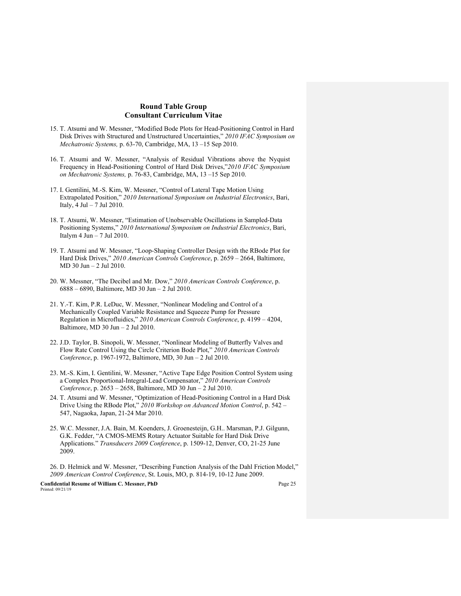- 15. T. Atsumi and W. Messner, "Modified Bode Plots for Head-Positioning Control in Hard Disk Drives with Structured and Unstructured Uncertainties," *2010 IFAC Symposium on Mechatronic Systems,* p. 63-70, Cambridge, MA, 13 –15 Sep 2010.
- 16. T. Atsumi and W. Messner, "Analysis of Residual Vibrations above the Nyquist Frequency in Head-Positioning Control of Hard Disk Drives,"*2010 IFAC Symposium on Mechatronic Systems,* p. 76-83, Cambridge, MA, 13 –15 Sep 2010.
- 17. I. Gentilini, M.-S. Kim, W. Messner, "Control of Lateral Tape Motion Using Extrapolated Position," *2010 International Symposium on Industrial Electronics*, Bari, Italy, 4 Jul – 7 Jul 2010.
- 18. T. Atsumi, W. Messner, "Estimation of Unobservable Oscillations in Sampled-Data Positioning Systems," *2010 International Symposium on Industrial Electronics*, Bari, Italym 4 Jun – 7 Jul 2010.
- 19. T. Atsumi and W. Messner, "Loop-Shaping Controller Design with the RBode Plot for Hard Disk Drives," *2010 American Controls Conference*, p. 2659 – 2664, Baltimore, MD 30 Jun – 2 Jul 2010.
- 20. W. Messner, "The Decibel and Mr. Dow," *2010 American Controls Conference*, p. 6888 – 6890, Baltimore, MD 30 Jun – 2 Jul 2010.
- 21. Y.-T. Kim, P.R. LeDuc, W. Messner, "Nonlinear Modeling and Control of a Mechanically Coupled Variable Resistance and Squeeze Pump for Pressure Regulation in Microfluidics," *2010 American Controls Conference*, p. 4199 – 4204, Baltimore, MD 30 Jun – 2 Jul 2010.
- 22. J.D. Taylor, B. Sinopoli, W. Messner, "Nonlinear Modeling of Butterfly Valves and Flow Rate Control Using the Circle Criterion Bode Plot," *2010 American Controls Conference*, p. 1967-1972, Baltimore, MD, 30 Jun – 2 Jul 2010.
- 23. M.-S. Kim, I. Gentilini, W. Messner, "Active Tape Edge Position Control System using a Complex Proportional-Integral-Lead Compensator," *2010 American Controls Conference*, p. 2653 – 2658, Baltimore, MD 30 Jun – 2 Jul 2010.
- 24. T. Atsumi and W. Messner, "Optimization of Head-Positioning Control in a Hard Disk Drive Using the RBode Plot," *2010 Workshop on Advanced Motion Control*, p. 542 – 547, Nagaoka, Japan, 21-24 Mar 2010.
- 25. W.C. Messner, J.A. Bain, M. Koenders, J. Groenesteijn, G.H.. Marsman, P.J. Gilgunn, G.K. Fedder, "A CMOS-MEMS Rotary Actuator Suitable for Hard Disk Drive Applications." *Transducers 2009 Conference*, p. 1509-12, Denver, CO, 21-25 June 2009.
- 26. D. Helmick and W. Messner, "Describing Function Analysis of the Dahl Friction Model," *2009 American Control Conference*, St. Louis, MO, p. 814-19, 10-12 June 2009.

**Confidential Resume of William C. Messner, PhD** Page 25 Printed: 09/21/19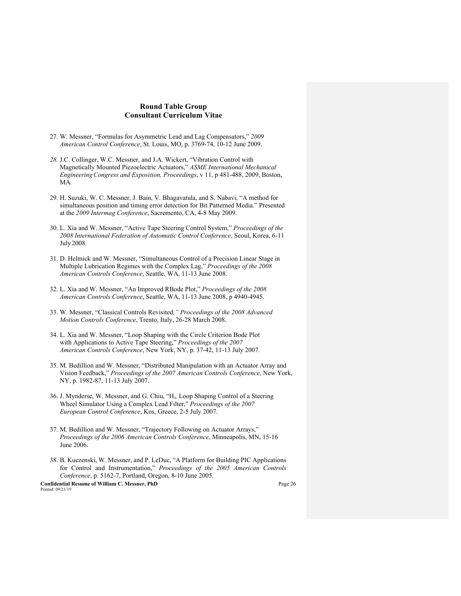- 27. W. Messner, "Formulas for Asymmetric Lead and Lag Compensators," *2009 American Control Conference*, St. Louis, MO, p. 3769-74, 10-12 June 2009.
- *28.* J.C. Collinger, W.C. Messner, and J.A. Wickert, "Vibration Control with Magnetically Mounted Piezoelectric Actuators," *ASME International Mechanical EngineeringCongress and Exposition, Proceedings*, v 11, p 481-488, 2009, Boston, MA*.*
- 29. H. Suzuki, W. C. Messner, J. Bain, V. Bhagavatula, and S. Nabavi, "A method for simultaneous position and timing error detection for Bit Patterned Media." Presented at the *2009 Intermag Conference*, Sacremento, CA, 4-8 May 2009.
- 30. L. Xia and W. Messner, "Active Tape Steering Control System," *Proceedings of the 2008 International Federation of Automatic Control Conference*, Seoul, Korea, 6-11 July 2008.
- 31. D. Helmick and W. Messner, "Simultaneous Control of a Precision Linear Stage in Multiple Lubrication Regimes with the Complex Lag," *Proceedings of the 2008 American Controls Conference*, Seattle, WA, 11-13 June 2008.
- 32. L. Xia and W. Messner, "An Improved RBode Plot," *Proceedings of the 2008 American Controls Conference*, Seattle, WA, 11-13 June 2008, p 4940-4945.
- 33. W. Messner, "Classical Controls Revisited*," Proceedings of the 2008 Advanced Motion Controls Conference*, Trento, Italy, 26-28 March 2008.
- 34. L. Xia and W. Messner, "Loop Shaping with the Circle Criterion Bode Plot with Applications to Active Tape Steering," *Proceedings of the 2007 American Controls Conference*, New York, NY, p. 37-42, 11-13 July 2007.
- 35. M. Bedillion and W. Messner, "Distributed Manipulation with an Actuator Array and Vision Feedback," *Proceedings of the 2007 American Controls Conference*, New York, NY, p. 1982-87, 11-13 July 2007.
- 36. J. Mynderse, W. Messner, and G. Chiu, "H∞ Loop Shaping Control of a Steering Wheel Simulator Using a Complex Lead Filter," *Proceedings of the 2007 European Control Conference*, Kos, Greece, 2-5 July 2007.
- 37. M. Bedillion and W. Messner, "Trajectory Following on Actuator Arrays," *Proceedings of the 2006 American Controls Conference*, Minneapolis, MN, 15-16 June 2006.
- 38. B. Kuczenski, W. Messner, and P. LeDuc, "A Platform for Building PIC Applications for Control and Instrumentation," *Proceedings of the 2005 American Controls Conference*, p. 5162-7, Portland, Oregon, 8-10 June 2005.

**Confidential Resume of William C. Messner, PhD** Page 26 Printed: 09/21/19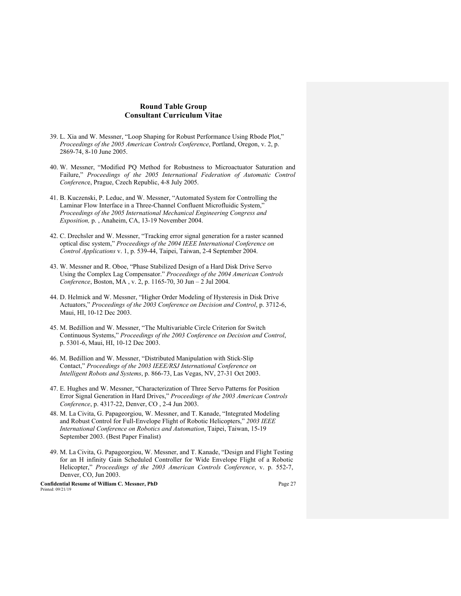- 39. L. Xia and W. Messner, "Loop Shaping for Robust Performance Using Rbode Plot," *Proceedings of the 2005 American Controls Conference*, Portland, Oregon, v. 2, p. 2869-74, 8-10 June 2005.
- 40. W. Messner, "Modified PQ Method for Robustness to Microactuator Saturation and Failure," *Proceedings of the 2005 International Federation of Automatic Control Conferenc*e, Prague, Czech Republic, 4-8 July 2005.
- 41. B. Kuczenski, P. Leduc, and W. Messner, "Automated System for Controlling the Laminar Flow Interface in a Three-Channel Confluent Microfluidic System," *Proceedings of the 2005 International Mechanical Engineering Congress and Exposition,* p. , Anaheim, CA, 13-19 November 2004.
- 42. C. Drechsler and W. Messner, "Tracking error signal generation for a raster scanned optical disc system," *Proceedings of the 2004 IEEE International Conference on Control Applications* v. 1, p. 539-44, Taipei, Taiwan, 2-4 September 2004.
- 43. W. Messner and R. Oboe, "Phase Stabilized Design of a Hard Disk Drive Servo Using the Complex Lag Compensator." *Proceedings of the 2004 American Controls Conference*, Boston, MA , v. 2, p. 1165-70, 30 Jun – 2 Jul 2004.
- 44. D. Helmick and W. Messner, "Higher Order Modeling of Hysteresis in Disk Drive Actuators," *Proceedings of the 2003 Conference on Decision and Control*, p. 3712-6, Maui, HI, 10-12 Dec 2003.
- 45. M. Bedillion and W. Messner, "The Multivariable Circle Criterion for Switch Continuous Systems," *Proceedings of the 2003 Conference on Decision and Control*, p. 5301-6, Maui, HI, 10-12 Dec 2003.
- 46. M. Bedillion and W. Messner, "Distributed Manipulation with Stick-Slip Contact," *Proceedings of the 2003 IEEE/RSJ International Conference on Intelligent Robots and Systems*, p. 866-73, Las Vegas, NV, 27-31 Oct 2003.
- 47. E. Hughes and W. Messner, "Characterization of Three Servo Patterns for Position Error Signal Generation in Hard Drives," *Proceedings of the 2003 American Controls Conference*, p. 4317-22, Denver, CO , 2-4 Jun 2003.
- 48. M. La Civita, G. Papageorgiou, W. Messner, and T. Kanade, "Integrated Modeling and Robust Control for Full-Envelope Flight of Robotic Helicopters," *2003 IEEE International Conference on Robotics and Automation*, Taipei, Taiwan, 15-19 September 2003. (Best Paper Finalist)
- 49. M. La Civita, G. Papageorgiou, W. Messner, and T. Kanade, "Design and Flight Testing for an H infinity Gain Scheduled Controller for Wide Envelope Flight of a Robotic Helicopter," *Proceedings of the 2003 American Controls Conference*, v. p. 552-7, Denver, CO, Jun 2003.

**Confidential Resume of William C. Messner, PhD** Page 27 Printed: 09/21/19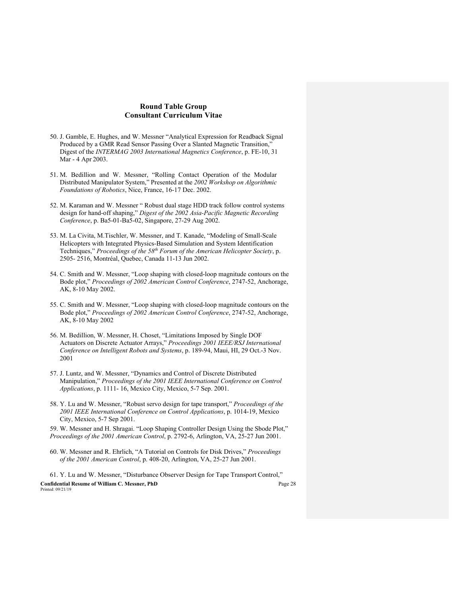- 50. J. Gamble, E. Hughes, and W. Messner "Analytical Expression for Readback Signal Produced by a GMR Read Sensor Passing Over a Slanted Magnetic Transition," Digest of the *INTERMAG 2003 International Magnetics Conference*, p. FE-10, 31 Mar - 4 Apr 2003.
- 51. M. Bedillion and W. Messner, "Rolling Contact Operation of the Modular Distributed Manipulator System," Presented at the *2002 Workshop on Algorithmic Foundations of Robotics*, Nice, France, 16-17 Dec. 2002.
- 52. M. Karaman and W. Messner " Robust dual stage HDD track follow control systems design for hand-off shaping," *Digest of the 2002 Asia-Pacific Magnetic Recording Conference*, p. Ba5-01-Ba5-02, Singapore, 27-29 Aug 2002.
- 53. M. La Civita, M.Tischler, W. Messner, and T. Kanade, "Modeling of Small-Scale Helicopters with Integrated Physics-Based Simulation and System Identification Techniques," *Proceedings of the 58th Forum of the American Helicopter Society*, p. 2505- 2516, Montréal, Quebec, Canada 11-13 Jun 2002.
- 54. C. Smith and W. Messner, "Loop shaping with closed-loop magnitude contours on the Bode plot," *Proceedings of 2002 American Control Conference*, 2747-52, Anchorage, AK, 8-10 May 2002.
- 55. C. Smith and W. Messner, "Loop shaping with closed-loop magnitude contours on the Bode plot," *Proceedings of 2002 American Control Conference*, 2747-52, Anchorage, AK, 8-10 May 2002
- 56. M. Bedillion, W. Messner, H. Choset, "Limitations Imposed by Single DOF Actuators on Discrete Actuator Arrays," *Proceedings 2001 IEEE/RSJ International Conference on Intelligent Robots and Systems*, p. 189-94, Maui, HI, 29 Oct.-3 Nov. 2001
- 57. J. Luntz, and W. Messner, "Dynamics and Control of Discrete Distributed Manipulation," *Proceedings of the 2001 IEEE International Conference on Control Applications*, p. 1111- 16, Mexico City, Mexico, 5-7 Sep. 2001.
- 58. Y. Lu and W. Messner, "Robust servo design for tape transport," *Proceedings of the 2001 IEEE International Conference on Control Applications*, p. 1014-19, Mexico City, Mexico, 5-7 Sep 2001.

59. W. Messner and H. Shragai. "Loop Shaping Controller Design Using the Sbode Plot," *Proceedings of the 2001 American Control*, p. 2792-6, Arlington, VA, 25-27 Jun 2001.

60. W. Messner and R. Ehrlich, "A Tutorial on Controls for Disk Drives," *Proceedings of the 2001 American Control*, p. 408-20, Arlington, VA, 25-27 Jun 2001.

**Confidential Resume of William C. Messner, PhD** Page 28 Printed: 09/21/19 61. Y. Lu and W. Messner, "Disturbance Observer Design for Tape Transport Control,"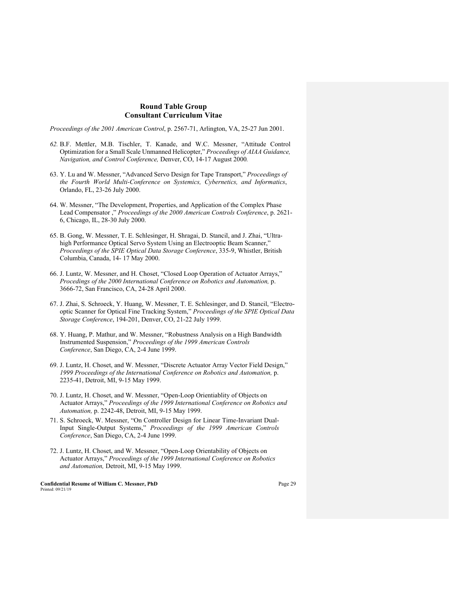*Proceedings of the 2001 American Control*, p. 2567-71, Arlington, VA, 25-27 Jun 2001.

- *62.* B.F. Mettler, M.B. Tischler, T. Kanade, and W.C. Messner, "Attitude Control Optimization for a Small Scale Unmanned Helicopter," *Proceedings of AIAA Guidance, Navigation, and Control Conference,* Denver, CO, 14-17 August 2000*.*
- 63. Y. Lu and W. Messner, "Advanced Servo Design for Tape Transport," *Proceedings of the Fourth World Multi-Conference on Systemics, Cybernetics, and Informatics*, Orlando, FL, 23-26 July 2000.
- 64. W. Messner, "The Development, Properties, and Application of the Complex Phase Lead Compensator ," *Proceedings of the 2000 American Controls Conference*, p. 2621- 6, Chicago, IL, 28-30 July 2000.
- 65. B. Gong, W. Messner, T. E. Schlesinger, H. Shragai, D. Stancil, and J. Zhai, "Ultrahigh Performance Optical Servo System Using an Electrooptic Beam Scanner," *Proceedings of the SPIE Optical Data Storage Conference*, 335-9, Whistler, British Columbia, Canada, 14- 17 May 2000.
- 66. J. Luntz, W. Messner, and H. Choset, "Closed Loop Operation of Actuator Arrays," *Procedings of the 2000 International Conference on Robotics and Automation,* p. 3666-72, San Francisco, CA, 24-28 April 2000.
- 67. J. Zhai, S. Schroeck, Y. Huang, W. Messner, T. E. Schlesinger, and D. Stancil, "Electrooptic Scanner for Optical Fine Tracking System," *Proceedings of the SPIE Optical Data Storage Conference*, 194-201, Denver, CO, 21-22 July 1999.
- 68. Y. Huang, P. Mathur, and W. Messner, "Robustness Analysis on a High Bandwidth Instrumented Suspension," *Proceedings of the 1999 American Controls Conference*, San Diego, CA, 2-4 June 1999.
- 69. J. Luntz, H. Choset, and W. Messner, "Discrete Actuator Array Vector Field Design," *1999 Proceedings of the International Conference on Robotics and Automation,* p. 2235-41, Detroit, MI, 9-15 May 1999.
- 70. J. Luntz, H. Choset, and W. Messner, "Open-Loop Orientiablity of Objects on Actuator Arrays," *Proceedings of the 1999 International Conference on Robotics and Automation,* p. 2242-48, Detroit, MI, 9-15 May 1999.
- 71. S. Schroeck, W. Messner, "On Controller Design for Linear Time-Invariant Dual-Input Single-Output Systems," *Proceedings of the 1999 American Controls Conference*, San Diego, CA, 2-4 June 1999.
- 72. J. Luntz, H. Choset, and W. Messner, "Open-Loop Orientability of Objects on Actuator Arrays," *Proceedings of the 1999 International Conference on Robotics and Automation,* Detroit, MI, 9-15 May 1999.

**Confidential Resume of William C. Messner, PhD** Page 29 Printed: 09/21/19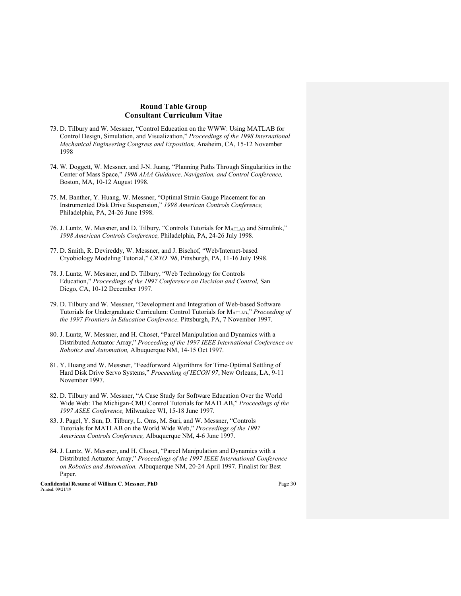- 73. D. Tilbury and W. Messner, "Control Education on the WWW: Using MATLAB for Control Design, Simulation, and Visualization," *Proceedings of the 1998 International Mechanical Engineering Congress and Exposition,* Anaheim, CA, 15-12 November 1998
- 74. W. Doggett, W. Messner, and J-N. Juang, "Planning Paths Through Singularities in the Center of Mass Space," *1998 AIAA Guidance, Navigation, and Control Conference,*  Boston, MA, 10-12 August 1998.
- 75. M. Banther, Y. Huang, W. Messner, "Optimal Strain Gauge Placement for an Instrumented Disk Drive Suspension," *1998 American Controls Conference,*  Philadelphia, PA, 24-26 June 1998.
- 76. J. Luntz, W. Messner, and D. Tilbury, "Controls Tutorials for MATLAB and Simulink," *1998 American Controls Conference,* Philadelphia, PA, 24-26 July 1998.
- 77. D. Smith, R. Devireddy, W. Messner, and J. Bischof, "Web/Internet-based Cryobiology Modeling Tutorial," *CRYO '98*, Pittsburgh, PA, 11-16 July 1998.
- 78. J. Luntz, W. Messner, and D. Tilbury, "Web Technology for Controls Education," *Proceedings of the 1997 Conference on Decision and Control,* San Diego, CA, 10-12 December 1997.
- 79. D. Tilbury and W. Messner, "Development and Integration of Web-based Software Tutorials for Undergraduate Curriculum: Control Tutorials for MATLAB," *Proceeding of the 1997 Frontiers in Education Conference,* Pittsburgh, PA, 7 November 1997.
- 80. J. Luntz, W. Messner, and H. Choset, "Parcel Manipulation and Dynamics with a Distributed Actuator Array," *Proceeding of the 1997 IEEE International Conference on Robotics and Automation,* Albuquerque NM, 14-15 Oct 1997.
- 81. Y. Huang and W. Messner, "Feedforward Algorithms for Time-Optimal Settling of Hard Disk Drive Servo Systems," *Proceeding of IECON 97*, New Orleans, LA, 9-11 November 1997.
- 82. D. Tilbury and W. Messner, "A Case Study for Software Education Over the World Wide Web: The Michigan-CMU Control Tutorials for MATLAB," *Proceedings of the 1997 ASEE Conference,* Milwaukee WI, 15-18 June 1997.
- 83. J. Pagel, Y. Sun, D. Tilbury, L. Oms, M. Suri, and W. Messner, "Controls Tutorials for MATLAB on the World Wide Web," *Proceedings of the 1997 American Controls Conference,* Albuquerque NM, 4-6 June 1997.
- 84. J. Luntz, W. Messner, and H. Choset, "Parcel Manipulation and Dynamics with a Distributed Actuator Array," *Proceedings of the 1997 IEEE International Conference on Robotics and Automation,* Albuquerque NM, 20-24 April 1997. Finalist for Best Paper.

**Confidential Resume of William C. Messner, PhD** Page 30 Printed: 09/21/19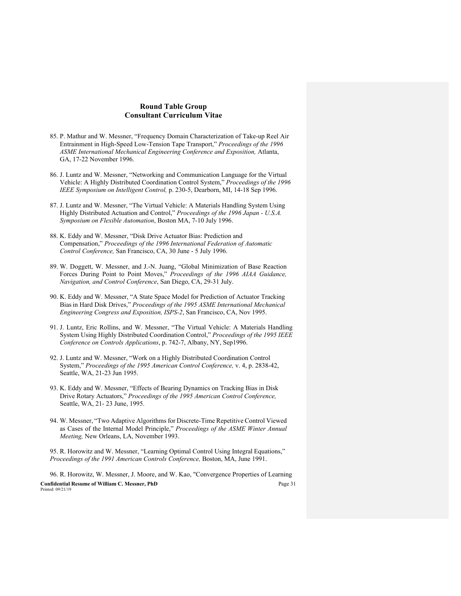- 85. P. Mathur and W. Messner, "Frequency Domain Characterization of Take-up Reel Air Entrainment in High-Speed Low-Tension Tape Transport," *Proceedings of the 1996 ASME International Mechanical Engineering Conference and Exposition,* Atlanta, GA, 17-22 November 1996.
- 86. J. Luntz and W. Messner, "Networking and Communication Language for the Virtual Vehicle: A Highly Distributed Coordination Control System," *Proceedings of the 1996 IEEE Symposium on Intelligent Control,* p. 230-5, Dearborn, MI, 14-18 Sep 1996.
- 87. J. Luntz and W. Messner, "The Virtual Vehicle: A Materials Handling System Using Highly Distributed Actuation and Control," *Proceedings of the 1996 Japan - U.S.A. Symposium on Flexible Automation*, Boston MA, 7-10 July 1996.
- 88. K. Eddy and W. Messner, "Disk Drive Actuator Bias: Prediction and Compensation," *Proceedings of the 1996 International Federation of Automatic Control Conference,* San Francisco, CA, 30 June - 5 July 1996.
- 89. W. Doggett, W. Messner, and J.-N. Juang, "Global Minimization of Base Reaction Forces During Point to Point Moves," *Proceedings of the 1996 AIAA Guidance, Navigation, and Control Conference*, San Diego, CA, 29-31 July.
- 90. K. Eddy and W. Messner, "A State Space Model for Prediction of Actuator Tracking Biasin Hard Disk Drives," *Proceedings of the 1995 ASME International Mechanical Engineering Congress and Exposition, ISPS-2*, San Francisco, CA, Nov 1995.
- 91. J. Luntz, Eric Rollins, and W. Messner, "The Virtual Vehicle: A Materials Handling System Using Highly Distributed Coordination Control," *Proceedings of the 1995 IEEE Conference on Controls Applications*, p. 742-7, Albany, NY, Sep1996.
- 92. J. Luntz and W. Messner, "Work on a Highly Distributed Coordination Control System," *Proceedings of the 1995 American Control Conference,* v. 4, p. 2838-42, Seattle, WA, 21-23 Jun 1995.
- 93. K. Eddy and W. Messner, "Effects of Bearing Dynamics on Tracking Bias in Disk Drive Rotary Actuators," *Proceedings of the 1995 American Control Conference,*  Seattle, WA, 21- 23 June, 1995.
- 94. W. Messner, "Two Adaptive Algorithms for Discrete-Time Repetitive Control Viewed as Cases of the Internal Model Principle," *Proceedings of the ASME Winter Annual Meeting,* New Orleans, LA, November 1993.

95. R. Horowitz and W. Messner, "Learning Optimal Control Using Integral Equations," *Proceedings of the 1991 American Controls Conference,* Boston, MA, June 1991.

**Confidential Resume of William C. Messner, PhD** Page 31 Printed: 09/21/19 96. R. Horowitz, W. Messner, J. Moore, and W. Kao, "Convergence Properties of Learning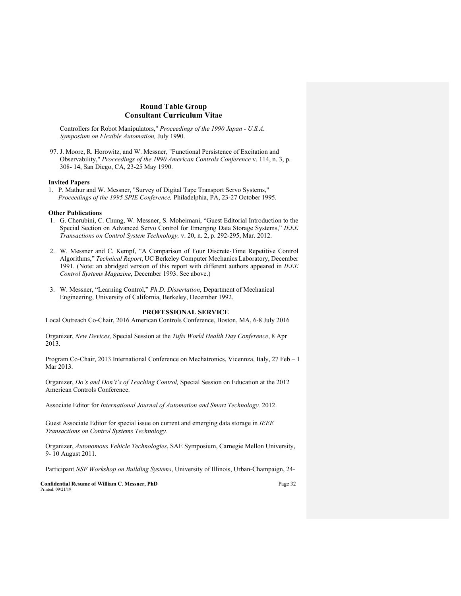Controllers for Robot Manipulators," *Proceedings of the 1990 Japan - U.S.A. Symposium on Flexible Automation,* July 1990.

97. J. Moore, R. Horowitz, and W. Messner, "Functional Persistence of Excitation and Observability," *Proceedings of the 1990 American Controls Conference* v. 114, n. 3, p. 308- 14, San Diego, CA, 23-25 May 1990.

#### **Invited Papers**

1. P. Mathur and W. Messner, "Survey of Digital Tape Transport Servo Systems," *Proceedings of the 1995 SPIE Conference,* Philadelphia, PA, 23-27 October 1995.

#### **Other Publications**

- 1. G. Cherubini, C. Chung, W. Messner, S. Moheimani, "Guest Editorial Introduction to the Special Section on Advanced Servo Control for Emerging Data Storage Systems," *IEEE Transactions on Control System Technology,* v. 20, n. 2, p. 292-295, Mar. 2012.
- 2. W. Messner and C. Kempf, "A Comparison of Four Discrete-Time Repetitive Control Algorithms," *Technical Report*, UC Berkeley Computer Mechanics Laboratory, December 1991. (Note: an abridged version of this report with different authors appeared in *IEEE Control Systems Magazine*, December 1993. See above.)
- 3. W. Messner, "Learning Control," *Ph.D. Dissertation*, Department of Mechanical Engineering, University of California, Berkeley, December 1992.

# **PROFESSIONAL SERVICE**

Local Outreach Co-Chair, 2016 American Controls Conference, Boston, MA, 6-8 July 2016

Organizer, *New Devices,* Special Session at the *Tufts World Health Day Conference*, 8 Apr 2013.

Program Co-Chair, 2013 International Conference on Mechatronics, Vicennza, Italy, 27 Feb – 1 Mar 2013.

Organizer, *Do's and Don't's of Teaching Control,* Special Session on Education at the 2012 American Controls Conference.

Associate Editor for *International Journal of Automation and Smart Technology.* 2012.

Guest Associate Editor for special issue on current and emerging data storage in *IEEE Transactions on Control Systems Technology.*

Organizer, *Autonomous Vehicle Technologies*, SAE Symposium, Carnegie Mellon University, 9- 10 August 2011.

Participant *NSF Workshop on Building Systems*, University of Illinois, Urban-Champaign, 24-

**Confidential Resume of William C. Messner, PhD** Page 32 Printed: 09/21/19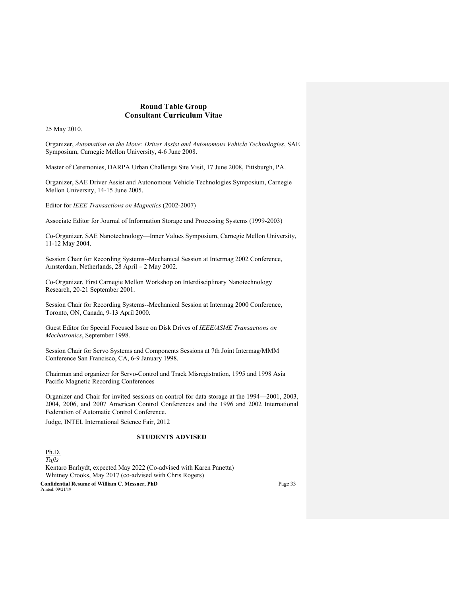25 May 2010.

Organizer, *Automation on the Move: Driver Assist and Autonomous Vehicle Technologies*, SAE Symposium, Carnegie Mellon University, 4-6 June 2008.

Master of Ceremonies, DARPA Urban Challenge Site Visit, 17 June 2008, Pittsburgh, PA.

Organizer, SAE Driver Assist and Autonomous Vehicle Technologies Symposium, Carnegie Mellon University, 14-15 June 2005.

Editor for *IEEE Transactions on Magnetics* (2002-2007)

Associate Editor for Journal of Information Storage and Processing Systems (1999-2003)

Co-Organizer, SAE Nanotechnology—Inner Values Symposium, Carnegie Mellon University, 11-12 May 2004.

Session Chair for Recording Systems--Mechanical Session at Intermag 2002 Conference, Amsterdam, Netherlands, 28 April – 2 May 2002.

Co-Organizer, First Carnegie Mellon Workshop on Interdisciplinary Nanotechnology Research, 20-21 September 2001.

Session Chair for Recording Systems--Mechanical Session at Intermag 2000 Conference, Toronto, ON, Canada, 9-13 April 2000.

Guest Editor for Special Focused Issue on Disk Drives of *IEEE/ASME Transactions on Mechatronics*, September 1998.

Session Chair for Servo Systems and Components Sessions at 7th Joint Intermag/MMM Conference San Francisco, CA, 6-9 January 1998.

Chairman and organizer for Servo-Control and Track Misregistration, 1995 and 1998 Asia Pacific Magnetic Recording Conferences

Organizer and Chair for invited sessions on control for data storage at the 1994—2001, 2003, 2004, 2006, and 2007 American Control Conferences and the 1996 and 2002 International Federation of Automatic Control Conference.

Judge, INTEL International Science Fair, 2012

### **STUDENTS ADVISED**

**Confidential Resume of William C. Messner, PhD** Page 33 Printed: 09/21/19 Ph.D. *Tufts* Kentaro Barhydt, expected May 2022 (Co-advised with Karen Panetta) Whitney Crooks, May 2017 (co-advised with Chris Rogers)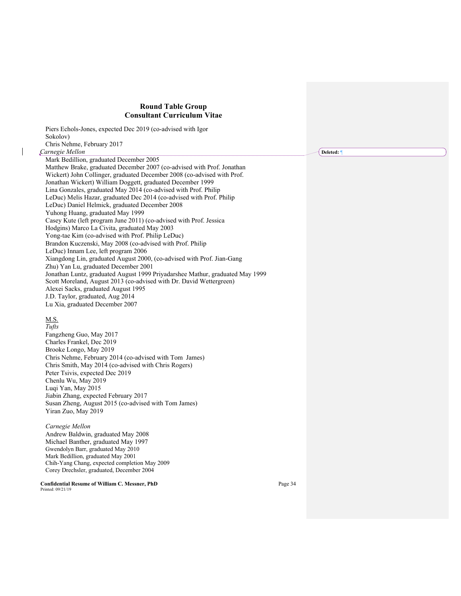$\begin{array}{c} \rule{0pt}{2ex} \rule{0pt}{2ex} \rule{0pt}{2ex} \rule{0pt}{2ex} \rule{0pt}{2ex} \rule{0pt}{2ex} \rule{0pt}{2ex} \rule{0pt}{2ex} \rule{0pt}{2ex} \rule{0pt}{2ex} \rule{0pt}{2ex} \rule{0pt}{2ex} \rule{0pt}{2ex} \rule{0pt}{2ex} \rule{0pt}{2ex} \rule{0pt}{2ex} \rule{0pt}{2ex} \rule{0pt}{2ex} \rule{0pt}{2ex} \rule{0pt}{2ex} \rule{0pt}{2ex} \rule{0pt}{2ex} \rule{0pt}{2ex} \rule{0pt}{$ 

| Piers Echols-Jones, expected Dec 2019 (co-advised with Igor                   |         |            |
|-------------------------------------------------------------------------------|---------|------------|
| Sokolov)                                                                      |         |            |
| Chris Nehme, February 2017                                                    |         |            |
| Carnegie Mellon                                                               |         | Deleted: 1 |
| Mark Bedillion, graduated December 2005                                       |         |            |
| Matthew Brake, graduated December 2007 (co-advised with Prof. Jonathan        |         |            |
| Wickert) John Collinger, graduated December 2008 (co-advised with Prof.       |         |            |
| Jonathan Wickert) William Doggett, graduated December 1999                    |         |            |
| Lina Gonzales, graduated May 2014 (co-advised with Prof. Philip               |         |            |
| LeDuc) Melis Hazar, graduated Dec 2014 (co-advised with Prof. Philip          |         |            |
| LeDuc) Daniel Helmick, graduated December 2008                                |         |            |
| Yuhong Huang, graduated May 1999                                              |         |            |
| Casey Kute (left program June 2011) (co-advised with Prof. Jessica            |         |            |
| Hodgins) Marco La Civita, graduated May 2003                                  |         |            |
| Yong-tae Kim (co-advised with Prof. Philip LeDuc)                             |         |            |
| Brandon Kuczenski, May 2008 (co-advised with Prof. Philip                     |         |            |
| LeDuc) Innam Lee, left program 2006                                           |         |            |
| Xiangdong Lin, graduated August 2000, (co-advised with Prof. Jian-Gang        |         |            |
| Zhu) Yan Lu, graduated December 2001                                          |         |            |
| Jonathan Luntz, graduated August 1999 Priyadarshee Mathur, graduated May 1999 |         |            |
| Scott Moreland, August 2013 (co-advised with Dr. David Wettergreen)           |         |            |
| Alexei Sacks, graduated August 1995                                           |         |            |
| J.D. Taylor, graduated, Aug 2014                                              |         |            |
| Lu Xia, graduated December 2007                                               |         |            |
| M.S.                                                                          |         |            |
| Tufts                                                                         |         |            |
| Fangzheng Guo, May 2017                                                       |         |            |
| Charles Frankel, Dec 2019                                                     |         |            |
| Brooke Longo, May 2019                                                        |         |            |
| Chris Nehme, February 2014 (co-advised with Tom James)                        |         |            |
| Chris Smith, May 2014 (co-advised with Chris Rogers)                          |         |            |
| Peter Tsivis, expected Dec 2019                                               |         |            |
| Chenlu Wu, May 2019                                                           |         |            |
| Luqi Yan, May 2015                                                            |         |            |
| Jiabin Zhang, expected February 2017                                          |         |            |
| Susan Zheng, August 2015 (co-advised with Tom James)                          |         |            |
| Yiran Zuo, May 2019                                                           |         |            |
|                                                                               |         |            |
| Carnegie Mellon                                                               |         |            |
| Andrew Baldwin, graduated May 2008                                            |         |            |
| Michael Banther, graduated May 1997                                           |         |            |
| Gwendolyn Barr, graduated May 2010<br>Mark Bedillion, graduated May 2001      |         |            |
| Chih-Yang Chang, expected completion May 2009                                 |         |            |
| Corey Drechsler, graduated, December 2004                                     |         |            |
| Confidential Resume of William C. Messner, PhD<br>Printed: 09/21/19           | Page 34 |            |